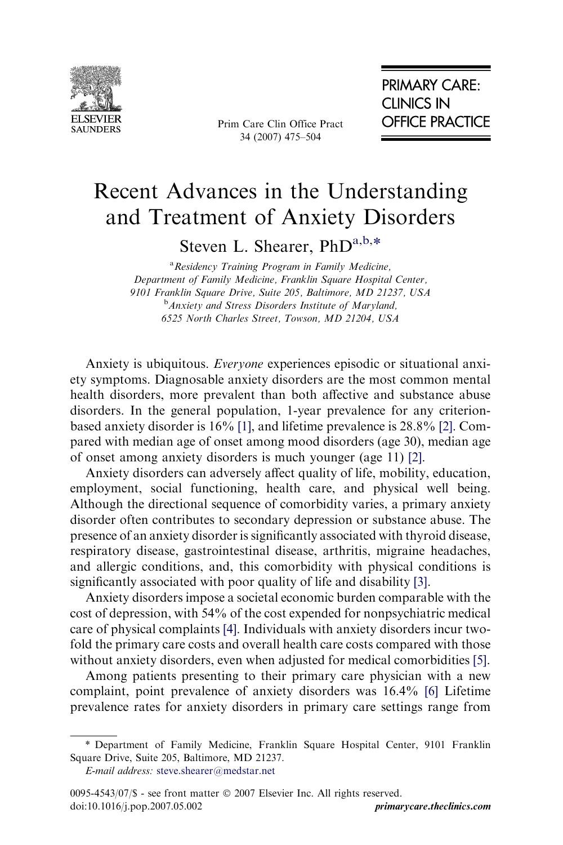

Prim Care Clin Office Pract 34 (2007) 475–504

# Recent Advances in the Understanding and Treatment of Anxiety Disorders

Steven L. Shearer, PhD<sup>a,b,\*</sup>

<sup>a</sup> Residency Training Program in Family Medicine, Department of Family Medicine, Franklin Square Hospital Center, 9101 Franklin Square Drive, Suite 205, Baltimore, MD 21237, USA <sup>b</sup> Anxiety and Stress Disorders Institute of Maryland, 6525 North Charles Street, Towson, MD 21204, USA

Anxiety is ubiquitous. Everyone experiences episodic or situational anxiety symptoms. Diagnosable anxiety disorders are the most common mental health disorders, more prevalent than both affective and substance abuse disorders. In the general population, 1-year prevalence for any criterionbased anxiety disorder is 16% [\[1\],](#page-22-0) and lifetime prevalence is 28.8% [\[2\]](#page-22-0). Compared with median age of onset among mood disorders (age 30), median age of onset among anxiety disorders is much younger (age 11) [\[2\].](#page-22-0)

Anxiety disorders can adversely affect quality of life, mobility, education, employment, social functioning, health care, and physical well being. Although the directional sequence of comorbidity varies, a primary anxiety disorder often contributes to secondary depression or substance abuse. The presence of an anxiety disorder is significantly associated with thyroid disease, respiratory disease, gastrointestinal disease, arthritis, migraine headaches, and allergic conditions, and, this comorbidity with physical conditions is significantly associated with poor quality of life and disability [\[3\].](#page-22-0)

Anxiety disorders impose a societal economic burden comparable with the cost of depression, with 54% of the cost expended for nonpsychiatric medical care of physical complaints [\[4\].](#page-22-0) Individuals with anxiety disorders incur twofold the primary care costs and overall health care costs compared with those without anxiety disorders, even when adjusted for medical comorbidities [\[5\]](#page-22-0).

Among patients presenting to their primary care physician with a new complaint, point prevalence of anxiety disorders was 16.4% [\[6\]](#page-22-0) Lifetime prevalence rates for anxiety disorders in primary care settings range from

<sup>\*</sup> Department of Family Medicine, Franklin Square Hospital Center, 9101 Franklin Square Drive, Suite 205, Baltimore, MD 21237.

E-mail address: [steve.shearer@medstar.net](mailto:steve.shearer@medstar.net)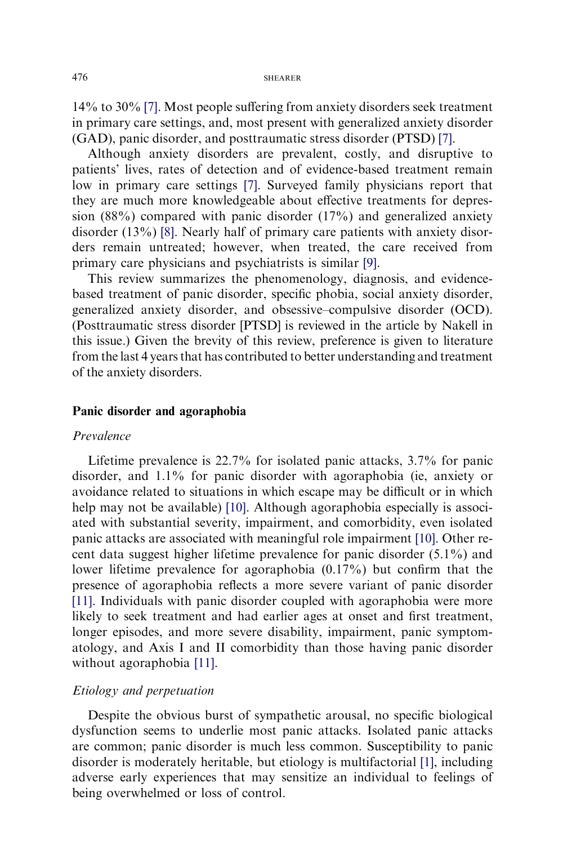14% to 30% [\[7\].](#page-22-0) Most people suffering from anxiety disorders seek treatment in primary care settings, and, most present with generalized anxiety disorder (GAD), panic disorder, and posttraumatic stress disorder (PTSD) [\[7\].](#page-22-0)

Although anxiety disorders are prevalent, costly, and disruptive to patients' lives, rates of detection and of evidence-based treatment remain low in primary care settings [\[7\]](#page-22-0). Surveyed family physicians report that they are much more knowledgeable about effective treatments for depression (88%) compared with panic disorder  $(17\%)$  and generalized anxiety disorder (13%) [\[8\].](#page-22-0) Nearly half of primary care patients with anxiety disorders remain untreated; however, when treated, the care received from primary care physicians and psychiatrists is similar [\[9\]](#page-22-0).

This review summarizes the phenomenology, diagnosis, and evidencebased treatment of panic disorder, specific phobia, social anxiety disorder, generalized anxiety disorder, and obsessive–compulsive disorder (OCD). (Posttraumatic stress disorder [PTSD] is reviewed in the article by Nakell in this issue.) Given the brevity of this review, preference is given to literature from the last 4 years that has contributed to better understanding and treatment of the anxiety disorders.

## Panic disorder and agoraphobia

# Prevalence

Lifetime prevalence is 22.7% for isolated panic attacks, 3.7% for panic disorder, and 1.1% for panic disorder with agoraphobia (ie, anxiety or avoidance related to situations in which escape may be difficult or in which help may not be available) [\[10\].](#page-22-0) Although agoraphobia especially is associated with substantial severity, impairment, and comorbidity, even isolated panic attacks are associated with meaningful role impairment [\[10\]](#page-22-0). Other recent data suggest higher lifetime prevalence for panic disorder (5.1%) and lower lifetime prevalence for agoraphobia (0.17%) but confirm that the presence of agoraphobia reflects a more severe variant of panic disorder [\[11\].](#page-23-0) Individuals with panic disorder coupled with agoraphobia were more likely to seek treatment and had earlier ages at onset and first treatment, longer episodes, and more severe disability, impairment, panic symptomatology, and Axis I and II comorbidity than those having panic disorder without agoraphobia [\[11\].](#page-23-0)

# Etiology and perpetuation

Despite the obvious burst of sympathetic arousal, no specific biological dysfunction seems to underlie most panic attacks. Isolated panic attacks are common; panic disorder is much less common. Susceptibility to panic disorder is moderately heritable, but etiology is multifactorial [\[1\],](#page-22-0) including adverse early experiences that may sensitize an individual to feelings of being overwhelmed or loss of control.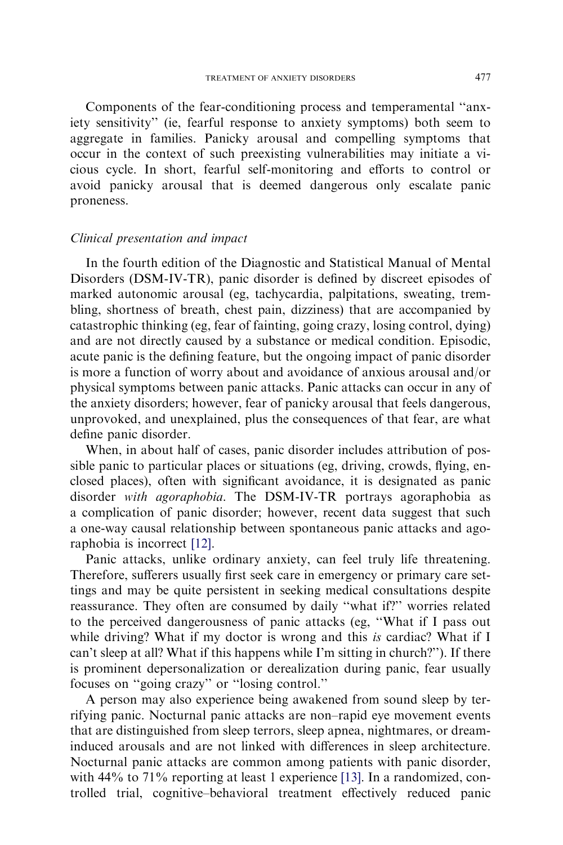Components of the fear-conditioning process and temperamental ''anxiety sensitivity'' (ie, fearful response to anxiety symptoms) both seem to aggregate in families. Panicky arousal and compelling symptoms that occur in the context of such preexisting vulnerabilities may initiate a vicious cycle. In short, fearful self-monitoring and efforts to control or avoid panicky arousal that is deemed dangerous only escalate panic proneness.

## Clinical presentation and impact

In the fourth edition of the Diagnostic and Statistical Manual of Mental Disorders (DSM-IV-TR), panic disorder is defined by discreet episodes of marked autonomic arousal (eg, tachycardia, palpitations, sweating, trembling, shortness of breath, chest pain, dizziness) that are accompanied by catastrophic thinking (eg, fear of fainting, going crazy, losing control, dying) and are not directly caused by a substance or medical condition. Episodic, acute panic is the defining feature, but the ongoing impact of panic disorder is more a function of worry about and avoidance of anxious arousal and/or physical symptoms between panic attacks. Panic attacks can occur in any of the anxiety disorders; however, fear of panicky arousal that feels dangerous, unprovoked, and unexplained, plus the consequences of that fear, are what define panic disorder.

When, in about half of cases, panic disorder includes attribution of possible panic to particular places or situations (eg, driving, crowds, flying, enclosed places), often with significant avoidance, it is designated as panic disorder with agoraphobia. The DSM-IV-TR portrays agoraphobia as a complication of panic disorder; however, recent data suggest that such a one-way causal relationship between spontaneous panic attacks and agoraphobia is incorrect [\[12\]](#page-23-0).

Panic attacks, unlike ordinary anxiety, can feel truly life threatening. Therefore, sufferers usually first seek care in emergency or primary care settings and may be quite persistent in seeking medical consultations despite reassurance. They often are consumed by daily ''what if?'' worries related to the perceived dangerousness of panic attacks (eg, ''What if I pass out while driving? What if my doctor is wrong and this is cardiac? What if I can't sleep at all? What if this happens while I'm sitting in church?''). If there is prominent depersonalization or derealization during panic, fear usually focuses on ''going crazy'' or ''losing control.''

A person may also experience being awakened from sound sleep by terrifying panic. Nocturnal panic attacks are non–rapid eye movement events that are distinguished from sleep terrors, sleep apnea, nightmares, or dreaminduced arousals and are not linked with differences in sleep architecture. Nocturnal panic attacks are common among patients with panic disorder, with 44% to 71% reporting at least 1 experience [\[13\]](#page-23-0). In a randomized, controlled trial, cognitive–behavioral treatment effectively reduced panic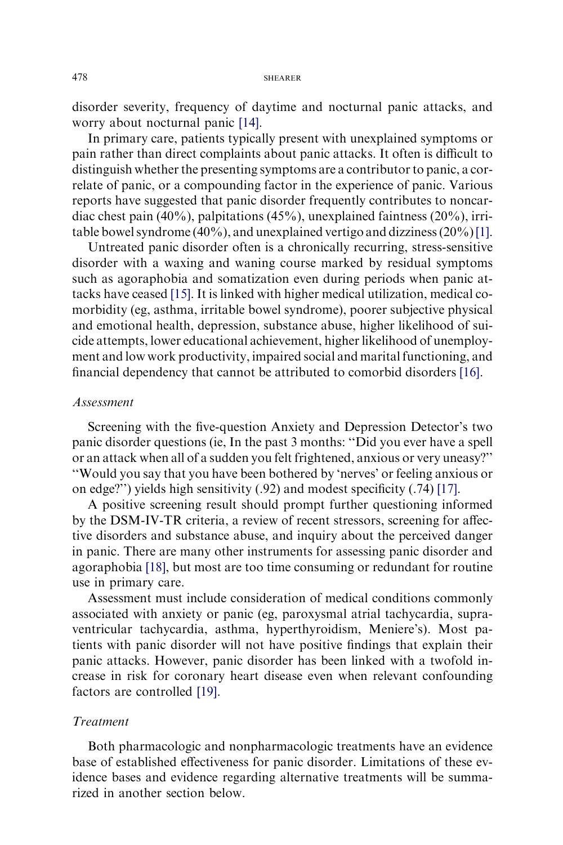disorder severity, frequency of daytime and nocturnal panic attacks, and worry about nocturnal panic [\[14\].](#page-23-0)

In primary care, patients typically present with unexplained symptoms or pain rather than direct complaints about panic attacks. It often is difficult to distinguish whether the presenting symptoms are a contributor to panic, a correlate of panic, or a compounding factor in the experience of panic. Various reports have suggested that panic disorder frequently contributes to noncardiac chest pain (40%), palpitations (45%), unexplained faintness (20%), irri-table bowel syndrome (40%), and unexplained vertigo and dizziness (20%) [\[1\]](#page-22-0).

Untreated panic disorder often is a chronically recurring, stress-sensitive disorder with a waxing and waning course marked by residual symptoms such as agoraphobia and somatization even during periods when panic attacks have ceased [\[15\]](#page-23-0). It is linked with higher medical utilization, medical comorbidity (eg, asthma, irritable bowel syndrome), poorer subjective physical and emotional health, depression, substance abuse, higher likelihood of suicide attempts, lower educational achievement, higher likelihood of unemployment and low work productivity, impaired social and marital functioning, and financial dependency that cannot be attributed to comorbid disorders [\[16\]](#page-23-0).

## Assessment

Screening with the five-question Anxiety and Depression Detector's two panic disorder questions (ie, In the past 3 months: ''Did you ever have a spell or an attack when all of a sudden you felt frightened, anxious or very uneasy?'' ''Would you say that you have been bothered by 'nerves' or feeling anxious or on edge?'') yields high sensitivity (.92) and modest specificity (.74) [\[17\].](#page-23-0)

A positive screening result should prompt further questioning informed by the DSM-IV-TR criteria, a review of recent stressors, screening for affective disorders and substance abuse, and inquiry about the perceived danger in panic. There are many other instruments for assessing panic disorder and agoraphobia [\[18\]](#page-23-0), but most are too time consuming or redundant for routine use in primary care.

Assessment must include consideration of medical conditions commonly associated with anxiety or panic (eg, paroxysmal atrial tachycardia, supraventricular tachycardia, asthma, hyperthyroidism, Meniere's). Most patients with panic disorder will not have positive findings that explain their panic attacks. However, panic disorder has been linked with a twofold increase in risk for coronary heart disease even when relevant confounding factors are controlled [\[19\].](#page-23-0)

# Treatment

Both pharmacologic and nonpharmacologic treatments have an evidence base of established effectiveness for panic disorder. Limitations of these evidence bases and evidence regarding alternative treatments will be summarized in another section below.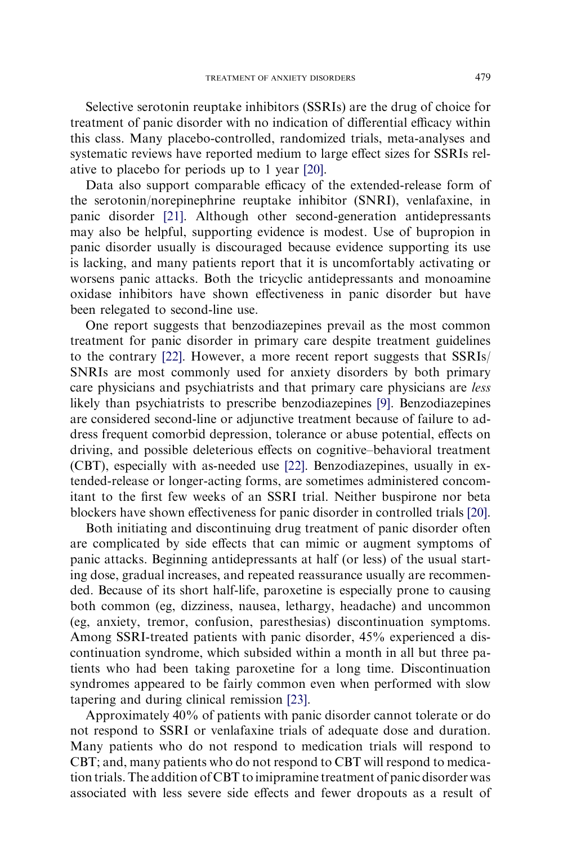Selective serotonin reuptake inhibitors (SSRIs) are the drug of choice for treatment of panic disorder with no indication of differential efficacy within this class. Many placebo-controlled, randomized trials, meta-analyses and systematic reviews have reported medium to large effect sizes for SSRIs relative to placebo for periods up to 1 year [\[20\]](#page-23-0).

Data also support comparable efficacy of the extended-release form of the serotonin/norepinephrine reuptake inhibitor (SNRI), venlafaxine, in panic disorder [\[21\].](#page-23-0) Although other second-generation antidepressants may also be helpful, supporting evidence is modest. Use of bupropion in panic disorder usually is discouraged because evidence supporting its use is lacking, and many patients report that it is uncomfortably activating or worsens panic attacks. Both the tricyclic antidepressants and monoamine oxidase inhibitors have shown effectiveness in panic disorder but have been relegated to second-line use.

One report suggests that benzodiazepines prevail as the most common treatment for panic disorder in primary care despite treatment guidelines to the contrary [\[22\].](#page-23-0) However, a more recent report suggests that SSRIs/ SNRIs are most commonly used for anxiety disorders by both primary care physicians and psychiatrists and that primary care physicians are less likely than psychiatrists to prescribe benzodiazepines [\[9\].](#page-22-0) Benzodiazepines are considered second-line or adjunctive treatment because of failure to address frequent comorbid depression, tolerance or abuse potential, effects on driving, and possible deleterious effects on cognitive–behavioral treatment (CBT), especially with as-needed use [\[22\].](#page-23-0) Benzodiazepines, usually in extended-release or longer-acting forms, are sometimes administered concomitant to the first few weeks of an SSRI trial. Neither buspirone nor beta blockers have shown effectiveness for panic disorder in controlled trials [\[20\].](#page-23-0)

Both initiating and discontinuing drug treatment of panic disorder often are complicated by side effects that can mimic or augment symptoms of panic attacks. Beginning antidepressants at half (or less) of the usual starting dose, gradual increases, and repeated reassurance usually are recommended. Because of its short half-life, paroxetine is especially prone to causing both common (eg, dizziness, nausea, lethargy, headache) and uncommon (eg, anxiety, tremor, confusion, paresthesias) discontinuation symptoms. Among SSRI-treated patients with panic disorder, 45% experienced a discontinuation syndrome, which subsided within a month in all but three patients who had been taking paroxetine for a long time. Discontinuation syndromes appeared to be fairly common even when performed with slow tapering and during clinical remission [\[23\].](#page-23-0)

Approximately 40% of patients with panic disorder cannot tolerate or do not respond to SSRI or venlafaxine trials of adequate dose and duration. Many patients who do not respond to medication trials will respond to CBT; and, many patients who do not respond to CBT will respond to medication trials. The addition of CBT to imipramine treatment of panic disorder was associated with less severe side effects and fewer dropouts as a result of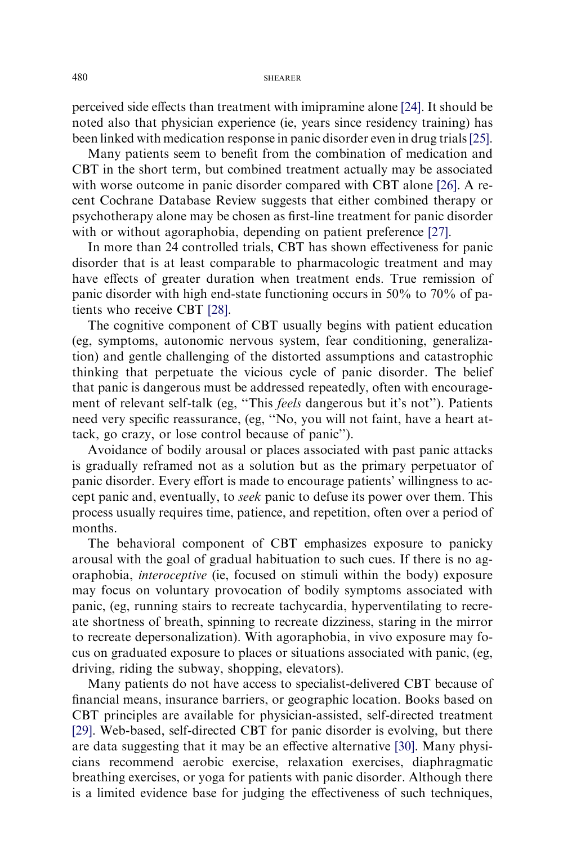perceived side effects than treatment with imipramine alone [\[24\]](#page-23-0). It should be noted also that physician experience (ie, years since residency training) has been linked with medication response in panic disorder even in drug trials[\[25\]](#page-23-0).

Many patients seem to benefit from the combination of medication and CBT in the short term, but combined treatment actually may be associated with worse outcome in panic disorder compared with CBT alone [\[26\].](#page-23-0) A recent Cochrane Database Review suggests that either combined therapy or psychotherapy alone may be chosen as first-line treatment for panic disorder with or without agoraphobia, depending on patient preference [\[27\].](#page-23-0)

In more than 24 controlled trials, CBT has shown effectiveness for panic disorder that is at least comparable to pharmacologic treatment and may have effects of greater duration when treatment ends. True remission of panic disorder with high end-state functioning occurs in 50% to 70% of patients who receive CBT [\[28\].](#page-23-0)

The cognitive component of CBT usually begins with patient education (eg, symptoms, autonomic nervous system, fear conditioning, generalization) and gentle challenging of the distorted assumptions and catastrophic thinking that perpetuate the vicious cycle of panic disorder. The belief that panic is dangerous must be addressed repeatedly, often with encouragement of relevant self-talk (eg, ''This feels dangerous but it's not''). Patients need very specific reassurance, (eg, ''No, you will not faint, have a heart attack, go crazy, or lose control because of panic'').

Avoidance of bodily arousal or places associated with past panic attacks is gradually reframed not as a solution but as the primary perpetuator of panic disorder. Every effort is made to encourage patients' willingness to accept panic and, eventually, to seek panic to defuse its power over them. This process usually requires time, patience, and repetition, often over a period of months.

The behavioral component of CBT emphasizes exposure to panicky arousal with the goal of gradual habituation to such cues. If there is no agoraphobia, interoceptive (ie, focused on stimuli within the body) exposure may focus on voluntary provocation of bodily symptoms associated with panic, (eg, running stairs to recreate tachycardia, hyperventilating to recreate shortness of breath, spinning to recreate dizziness, staring in the mirror to recreate depersonalization). With agoraphobia, in vivo exposure may focus on graduated exposure to places or situations associated with panic, (eg, driving, riding the subway, shopping, elevators).

Many patients do not have access to specialist-delivered CBT because of financial means, insurance barriers, or geographic location. Books based on CBT principles are available for physician-assisted, self-directed treatment [\[29\].](#page-23-0) Web-based, self-directed CBT for panic disorder is evolving, but there are data suggesting that it may be an effective alternative [\[30\]](#page-23-0). Many physicians recommend aerobic exercise, relaxation exercises, diaphragmatic breathing exercises, or yoga for patients with panic disorder. Although there is a limited evidence base for judging the effectiveness of such techniques,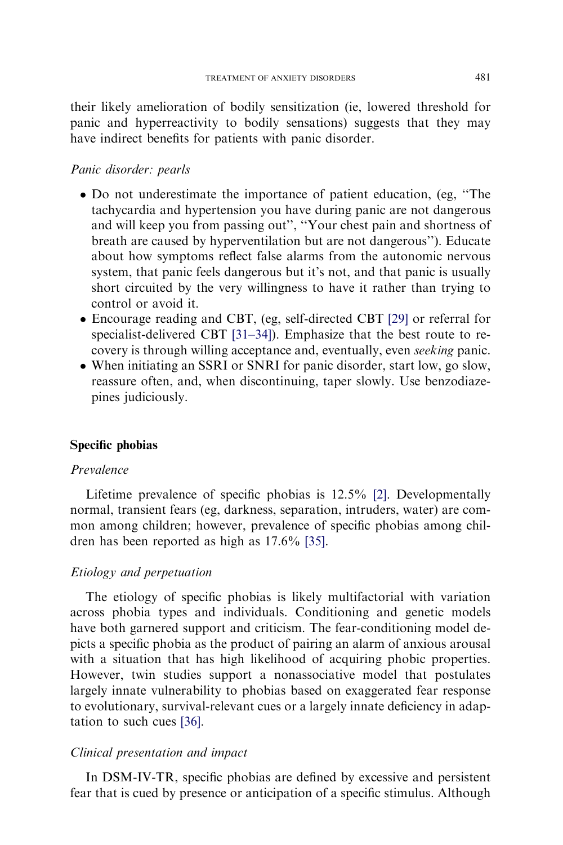their likely amelioration of bodily sensitization (ie, lowered threshold for panic and hyperreactivity to bodily sensations) suggests that they may have indirect benefits for patients with panic disorder.

# Panic disorder: pearls

- Do not underestimate the importance of patient education, (eg, ''The tachycardia and hypertension you have during panic are not dangerous and will keep you from passing out'', ''Your chest pain and shortness of breath are caused by hyperventilation but are not dangerous''). Educate about how symptoms reflect false alarms from the autonomic nervous system, that panic feels dangerous but it's not, and that panic is usually short circuited by the very willingness to have it rather than trying to control or avoid it.
- Encourage reading and CBT, (eg, self-directed CBT [\[29\]](#page-23-0) or referral for specialist-delivered CBT [\[31–34\]](#page-23-0)). Emphasize that the best route to recovery is through willing acceptance and, eventually, even seeking panic.
- When initiating an SSRI or SNRI for panic disorder, start low, go slow, reassure often, and, when discontinuing, taper slowly. Use benzodiazepines judiciously.

## Specific phobias

# Prevalence

Lifetime prevalence of specific phobias is 12.5% [\[2\].](#page-22-0) Developmentally normal, transient fears (eg, darkness, separation, intruders, water) are common among children; however, prevalence of specific phobias among children has been reported as high as 17.6% [\[35\]](#page-24-0).

# Etiology and perpetuation

The etiology of specific phobias is likely multifactorial with variation across phobia types and individuals. Conditioning and genetic models have both garnered support and criticism. The fear-conditioning model depicts a specific phobia as the product of pairing an alarm of anxious arousal with a situation that has high likelihood of acquiring phobic properties. However, twin studies support a nonassociative model that postulates largely innate vulnerability to phobias based on exaggerated fear response to evolutionary, survival-relevant cues or a largely innate deficiency in adaptation to such cues [\[36\].](#page-24-0)

# Clinical presentation and impact

In DSM-IV-TR, specific phobias are defined by excessive and persistent fear that is cued by presence or anticipation of a specific stimulus. Although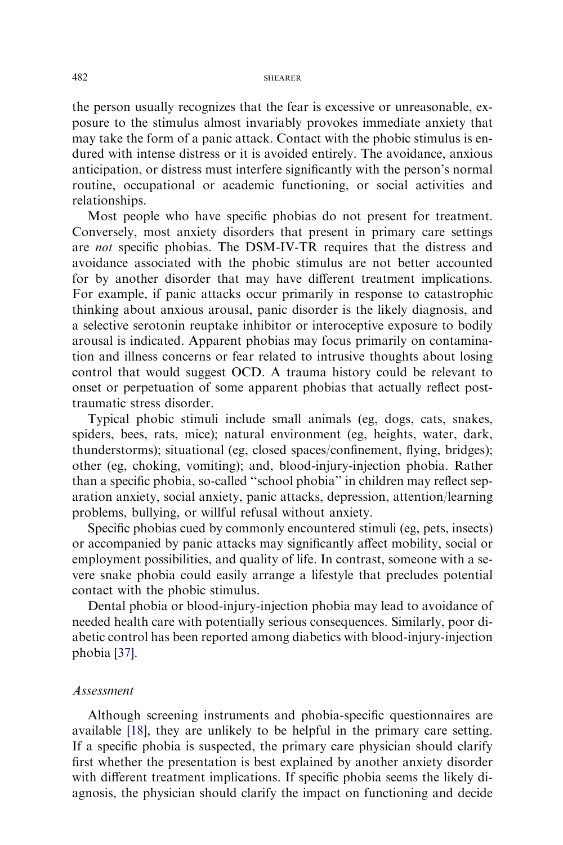the person usually recognizes that the fear is excessive or unreasonable, exposure to the stimulus almost invariably provokes immediate anxiety that may take the form of a panic attack. Contact with the phobic stimulus is endured with intense distress or it is avoided entirely. The avoidance, anxious anticipation, or distress must interfere significantly with the person's normal routine, occupational or academic functioning, or social activities and relationships.

Most people who have specific phobias do not present for treatment. Conversely, most anxiety disorders that present in primary care settings are not specific phobias. The DSM-IV-TR requires that the distress and avoidance associated with the phobic stimulus are not better accounted for by another disorder that may have different treatment implications. For example, if panic attacks occur primarily in response to catastrophic thinking about anxious arousal, panic disorder is the likely diagnosis, and a selective serotonin reuptake inhibitor or interoceptive exposure to bodily arousal is indicated. Apparent phobias may focus primarily on contamination and illness concerns or fear related to intrusive thoughts about losing control that would suggest OCD. A trauma history could be relevant to onset or perpetuation of some apparent phobias that actually reflect posttraumatic stress disorder.

Typical phobic stimuli include small animals (eg, dogs, cats, snakes, spiders, bees, rats, mice); natural environment (eg, heights, water, dark, thunderstorms); situational (eg, closed spaces/confinement, flying, bridges); other (eg, choking, vomiting); and, blood-injury-injection phobia. Rather than a specific phobia, so-called ''school phobia'' in children may reflect separation anxiety, social anxiety, panic attacks, depression, attention/learning problems, bullying, or willful refusal without anxiety.

Specific phobias cued by commonly encountered stimuli (eg, pets, insects) or accompanied by panic attacks may significantly affect mobility, social or employment possibilities, and quality of life. In contrast, someone with a severe snake phobia could easily arrange a lifestyle that precludes potential contact with the phobic stimulus.

Dental phobia or blood-injury-injection phobia may lead to avoidance of needed health care with potentially serious consequences. Similarly, poor diabetic control has been reported among diabetics with blood-injury-injection phobia [\[37\]](#page-24-0).

## Assessment

Although screening instruments and phobia-specific questionnaires are available [\[18\],](#page-23-0) they are unlikely to be helpful in the primary care setting. If a specific phobia is suspected, the primary care physician should clarify first whether the presentation is best explained by another anxiety disorder with different treatment implications. If specific phobia seems the likely diagnosis, the physician should clarify the impact on functioning and decide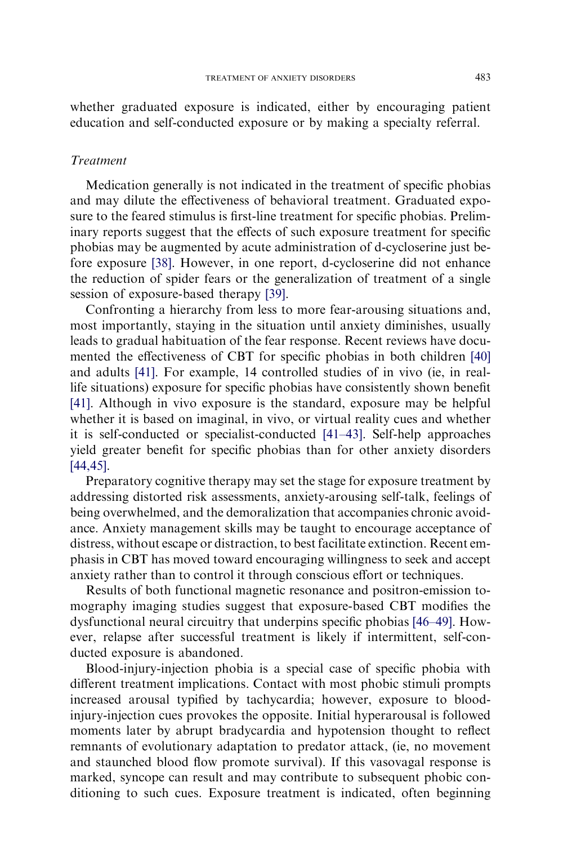whether graduated exposure is indicated, either by encouraging patient education and self-conducted exposure or by making a specialty referral.

## Treatment

Medication generally is not indicated in the treatment of specific phobias and may dilute the effectiveness of behavioral treatment. Graduated exposure to the feared stimulus is first-line treatment for specific phobias. Preliminary reports suggest that the effects of such exposure treatment for specific phobias may be augmented by acute administration of d-cycloserine just before exposure [\[38\].](#page-24-0) However, in one report, d-cycloserine did not enhance the reduction of spider fears or the generalization of treatment of a single session of exposure-based therapy [\[39\]](#page-24-0).

Confronting a hierarchy from less to more fear-arousing situations and, most importantly, staying in the situation until anxiety diminishes, usually leads to gradual habituation of the fear response. Recent reviews have documented the effectiveness of CBT for specific phobias in both children [\[40\]](#page-24-0) and adults [\[41\].](#page-24-0) For example, 14 controlled studies of in vivo (ie, in reallife situations) exposure for specific phobias have consistently shown benefit [\[41\]](#page-24-0). Although in vivo exposure is the standard, exposure may be helpful whether it is based on imaginal, in vivo, or virtual reality cues and whether it is self-conducted or specialist-conducted [\[41–43\]](#page-24-0). Self-help approaches yield greater benefit for specific phobias than for other anxiety disorders [\[44,45\].](#page-24-0)

Preparatory cognitive therapy may set the stage for exposure treatment by addressing distorted risk assessments, anxiety-arousing self-talk, feelings of being overwhelmed, and the demoralization that accompanies chronic avoidance. Anxiety management skills may be taught to encourage acceptance of distress, without escape or distraction, to best facilitate extinction. Recent emphasis in CBT has moved toward encouraging willingness to seek and accept anxiety rather than to control it through conscious effort or techniques.

Results of both functional magnetic resonance and positron-emission tomography imaging studies suggest that exposure-based CBT modifies the dysfunctional neural circuitry that underpins specific phobias [\[46–49\].](#page-24-0) However, relapse after successful treatment is likely if intermittent, self-conducted exposure is abandoned.

Blood-injury-injection phobia is a special case of specific phobia with different treatment implications. Contact with most phobic stimuli prompts increased arousal typified by tachycardia; however, exposure to bloodinjury-injection cues provokes the opposite. Initial hyperarousal is followed moments later by abrupt bradycardia and hypotension thought to reflect remnants of evolutionary adaptation to predator attack, (ie, no movement and staunched blood flow promote survival). If this vasovagal response is marked, syncope can result and may contribute to subsequent phobic conditioning to such cues. Exposure treatment is indicated, often beginning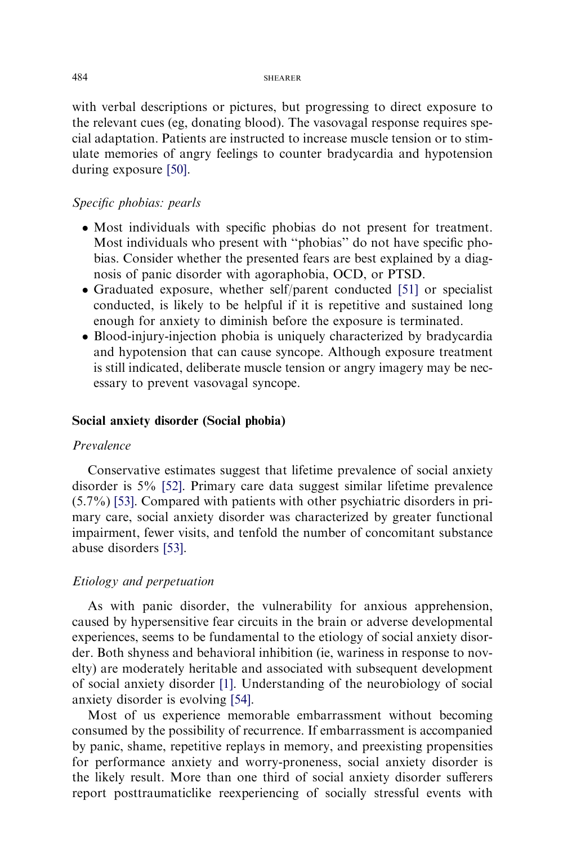with verbal descriptions or pictures, but progressing to direct exposure to the relevant cues (eg, donating blood). The vasovagal response requires special adaptation. Patients are instructed to increase muscle tension or to stimulate memories of angry feelings to counter bradycardia and hypotension during exposure [\[50\]](#page-24-0).

# Specific phobias: pearls

- Most individuals with specific phobias do not present for treatment. Most individuals who present with ''phobias'' do not have specific phobias. Consider whether the presented fears are best explained by a diagnosis of panic disorder with agoraphobia, OCD, or PTSD.
- Graduated exposure, whether self/parent conducted [\[51\]](#page-24-0) or specialist conducted, is likely to be helpful if it is repetitive and sustained long enough for anxiety to diminish before the exposure is terminated.
- Blood-injury-injection phobia is uniquely characterized by bradycardia and hypotension that can cause syncope. Although exposure treatment is still indicated, deliberate muscle tension or angry imagery may be necessary to prevent vasovagal syncope.

## Social anxiety disorder (Social phobia)

## Prevalence

Conservative estimates suggest that lifetime prevalence of social anxiety disorder is 5% [\[52\].](#page-24-0) Primary care data suggest similar lifetime prevalence (5.7%) [\[53\].](#page-24-0) Compared with patients with other psychiatric disorders in primary care, social anxiety disorder was characterized by greater functional impairment, fewer visits, and tenfold the number of concomitant substance abuse disorders [\[53\].](#page-24-0)

# Etiology and perpetuation

As with panic disorder, the vulnerability for anxious apprehension, caused by hypersensitive fear circuits in the brain or adverse developmental experiences, seems to be fundamental to the etiology of social anxiety disorder. Both shyness and behavioral inhibition (ie, wariness in response to novelty) are moderately heritable and associated with subsequent development of social anxiety disorder [\[1\].](#page-22-0) Understanding of the neurobiology of social anxiety disorder is evolving [\[54\]](#page-24-0).

Most of us experience memorable embarrassment without becoming consumed by the possibility of recurrence. If embarrassment is accompanied by panic, shame, repetitive replays in memory, and preexisting propensities for performance anxiety and worry-proneness, social anxiety disorder is the likely result. More than one third of social anxiety disorder sufferers report posttraumaticlike reexperiencing of socially stressful events with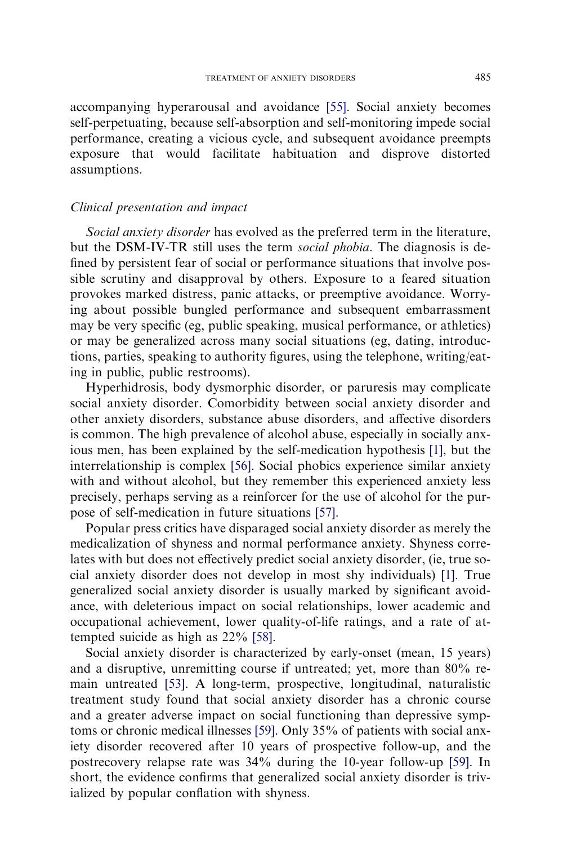accompanying hyperarousal and avoidance [\[55\].](#page-24-0) Social anxiety becomes self-perpetuating, because self-absorption and self-monitoring impede social performance, creating a vicious cycle, and subsequent avoidance preempts exposure that would facilitate habituation and disprove distorted assumptions.

# Clinical presentation and impact

Social anxiety disorder has evolved as the preferred term in the literature, but the DSM-IV-TR still uses the term social phobia. The diagnosis is defined by persistent fear of social or performance situations that involve possible scrutiny and disapproval by others. Exposure to a feared situation provokes marked distress, panic attacks, or preemptive avoidance. Worrying about possible bungled performance and subsequent embarrassment may be very specific (eg, public speaking, musical performance, or athletics) or may be generalized across many social situations (eg, dating, introductions, parties, speaking to authority figures, using the telephone, writing/eating in public, public restrooms).

Hyperhidrosis, body dysmorphic disorder, or paruresis may complicate social anxiety disorder. Comorbidity between social anxiety disorder and other anxiety disorders, substance abuse disorders, and affective disorders is common. The high prevalence of alcohol abuse, especially in socially anxious men, has been explained by the self-medication hypothesis [\[1\],](#page-22-0) but the interrelationship is complex [\[56\].](#page-25-0) Social phobics experience similar anxiety with and without alcohol, but they remember this experienced anxiety less precisely, perhaps serving as a reinforcer for the use of alcohol for the purpose of self-medication in future situations [\[57\]](#page-25-0).

Popular press critics have disparaged social anxiety disorder as merely the medicalization of shyness and normal performance anxiety. Shyness correlates with but does not effectively predict social anxiety disorder, (ie, true social anxiety disorder does not develop in most shy individuals) [\[1\]](#page-22-0). True generalized social anxiety disorder is usually marked by significant avoidance, with deleterious impact on social relationships, lower academic and occupational achievement, lower quality-of-life ratings, and a rate of attempted suicide as high as 22% [\[58\]](#page-25-0).

Social anxiety disorder is characterized by early-onset (mean, 15 years) and a disruptive, unremitting course if untreated; yet, more than 80% remain untreated [\[53\].](#page-24-0) A long-term, prospective, longitudinal, naturalistic treatment study found that social anxiety disorder has a chronic course and a greater adverse impact on social functioning than depressive symptoms or chronic medical illnesses [\[59\].](#page-25-0) Only 35% of patients with social anxiety disorder recovered after 10 years of prospective follow-up, and the postrecovery relapse rate was 34% during the 10-year follow-up [\[59\]](#page-25-0). In short, the evidence confirms that generalized social anxiety disorder is trivialized by popular conflation with shyness.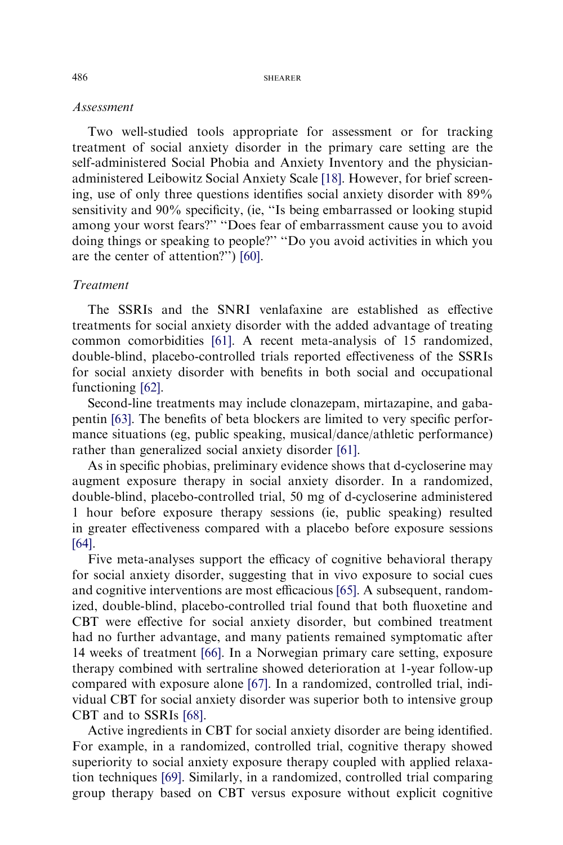## Assessment

Two well-studied tools appropriate for assessment or for tracking treatment of social anxiety disorder in the primary care setting are the self-administered Social Phobia and Anxiety Inventory and the physicianadministered Leibowitz Social Anxiety Scale [\[18\]](#page-23-0). However, for brief screening, use of only three questions identifies social anxiety disorder with 89% sensitivity and 90% specificity, (ie, ''Is being embarrassed or looking stupid among your worst fears?'' ''Does fear of embarrassment cause you to avoid doing things or speaking to people?'' ''Do you avoid activities in which you are the center of attention?'') [\[60\].](#page-25-0)

# Treatment

The SSRIs and the SNRI venlafaxine are established as effective treatments for social anxiety disorder with the added advantage of treating common comorbidities [\[61\].](#page-25-0) A recent meta-analysis of 15 randomized, double-blind, placebo-controlled trials reported effectiveness of the SSRIs for social anxiety disorder with benefits in both social and occupational functioning [\[62\]](#page-25-0).

Second-line treatments may include clonazepam, mirtazapine, and gabapentin [\[63\].](#page-25-0) The benefits of beta blockers are limited to very specific performance situations (eg, public speaking, musical/dance/athletic performance) rather than generalized social anxiety disorder [\[61\].](#page-25-0)

As in specific phobias, preliminary evidence shows that d-cycloserine may augment exposure therapy in social anxiety disorder. In a randomized, double-blind, placebo-controlled trial, 50 mg of d-cycloserine administered 1 hour before exposure therapy sessions (ie, public speaking) resulted in greater effectiveness compared with a placebo before exposure sessions [\[64\].](#page-25-0)

Five meta-analyses support the efficacy of cognitive behavioral therapy for social anxiety disorder, suggesting that in vivo exposure to social cues and cognitive interventions are most efficacious [\[65\].](#page-25-0) A subsequent, randomized, double-blind, placebo-controlled trial found that both fluoxetine and CBT were effective for social anxiety disorder, but combined treatment had no further advantage, and many patients remained symptomatic after 14 weeks of treatment [\[66\].](#page-25-0) In a Norwegian primary care setting, exposure therapy combined with sertraline showed deterioration at 1-year follow-up compared with exposure alone [\[67\].](#page-25-0) In a randomized, controlled trial, individual CBT for social anxiety disorder was superior both to intensive group CBT and to SSRIs [\[68\].](#page-25-0)

Active ingredients in CBT for social anxiety disorder are being identified. For example, in a randomized, controlled trial, cognitive therapy showed superiority to social anxiety exposure therapy coupled with applied relaxation techniques [\[69\]](#page-25-0). Similarly, in a randomized, controlled trial comparing group therapy based on CBT versus exposure without explicit cognitive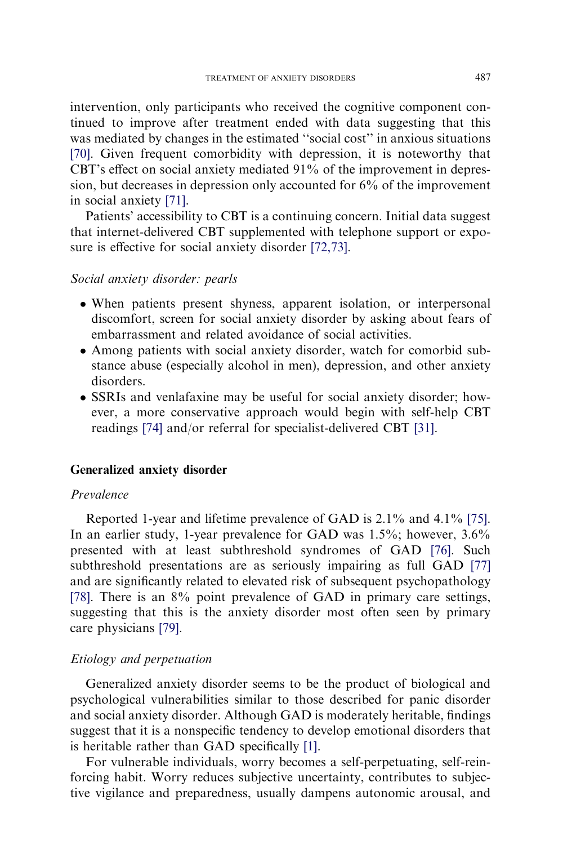intervention, only participants who received the cognitive component continued to improve after treatment ended with data suggesting that this was mediated by changes in the estimated ''social cost'' in anxious situations [\[70\]](#page-25-0). Given frequent comorbidity with depression, it is noteworthy that CBT's effect on social anxiety mediated 91% of the improvement in depression, but decreases in depression only accounted for 6% of the improvement in social anxiety [\[71\]](#page-25-0).

Patients' accessibility to CBT is a continuing concern. Initial data suggest that internet-delivered CBT supplemented with telephone support or exposure is effective for social anxiety disorder [\[72,73\].](#page-25-0)

## Social anxiety disorder: pearls

- When patients present shyness, apparent isolation, or interpersonal discomfort, screen for social anxiety disorder by asking about fears of embarrassment and related avoidance of social activities.
- Among patients with social anxiety disorder, watch for comorbid substance abuse (especially alcohol in men), depression, and other anxiety disorders.
- SSRIs and venlafaxine may be useful for social anxiety disorder; however, a more conservative approach would begin with self-help CBT readings [\[74\]](#page-25-0) and/or referral for specialist-delivered CBT [\[31\]](#page-23-0).

## Generalized anxiety disorder

# Prevalence

Reported 1-year and lifetime prevalence of GAD is 2.1% and 4.1% [\[75\].](#page-25-0) In an earlier study, 1-year prevalence for GAD was 1.5%; however, 3.6% presented with at least subthreshold syndromes of GAD [\[76\].](#page-25-0) Such subthreshold presentations are as seriously impairing as full GAD [\[77\]](#page-25-0) and are significantly related to elevated risk of subsequent psychopathology [\[78\]](#page-26-0). There is an 8% point prevalence of GAD in primary care settings, suggesting that this is the anxiety disorder most often seen by primary care physicians [\[79\]](#page-26-0).

# Etiology and perpetuation

Generalized anxiety disorder seems to be the product of biological and psychological vulnerabilities similar to those described for panic disorder and social anxiety disorder. Although GAD is moderately heritable, findings suggest that it is a nonspecific tendency to develop emotional disorders that is heritable rather than GAD specifically [\[1\]](#page-22-0).

For vulnerable individuals, worry becomes a self-perpetuating, self-reinforcing habit. Worry reduces subjective uncertainty, contributes to subjective vigilance and preparedness, usually dampens autonomic arousal, and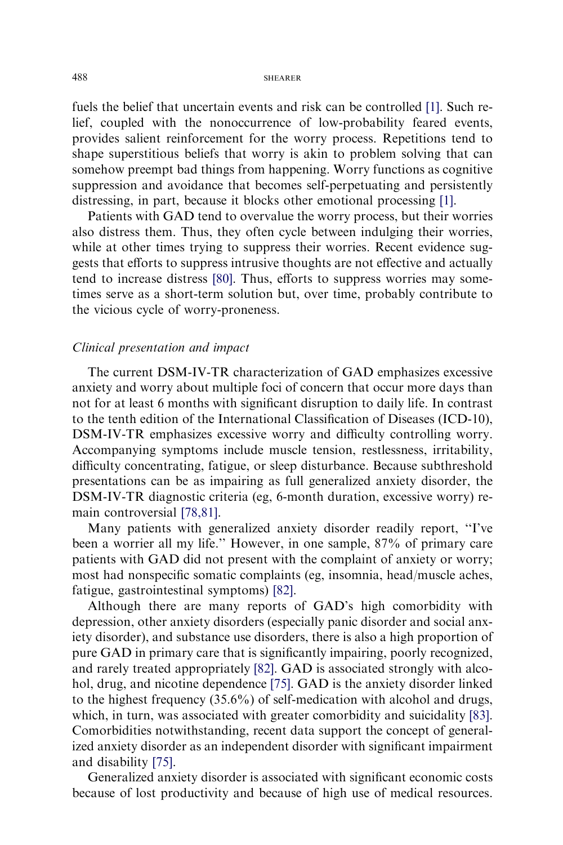fuels the belief that uncertain events and risk can be controlled [\[1\]](#page-22-0). Such relief, coupled with the nonoccurrence of low-probability feared events, provides salient reinforcement for the worry process. Repetitions tend to shape superstitious beliefs that worry is akin to problem solving that can somehow preempt bad things from happening. Worry functions as cognitive suppression and avoidance that becomes self-perpetuating and persistently distressing, in part, because it blocks other emotional processing [\[1\].](#page-22-0)

Patients with GAD tend to overvalue the worry process, but their worries also distress them. Thus, they often cycle between indulging their worries, while at other times trying to suppress their worries. Recent evidence suggests that efforts to suppress intrusive thoughts are not effective and actually tend to increase distress [\[80\]](#page-26-0). Thus, efforts to suppress worries may sometimes serve as a short-term solution but, over time, probably contribute to the vicious cycle of worry-proneness.

# Clinical presentation and impact

The current DSM-IV-TR characterization of GAD emphasizes excessive anxiety and worry about multiple foci of concern that occur more days than not for at least 6 months with significant disruption to daily life. In contrast to the tenth edition of the International Classification of Diseases (ICD-10), DSM-IV-TR emphasizes excessive worry and difficulty controlling worry. Accompanying symptoms include muscle tension, restlessness, irritability, difficulty concentrating, fatigue, or sleep disturbance. Because subthreshold presentations can be as impairing as full generalized anxiety disorder, the DSM-IV-TR diagnostic criteria (eg, 6-month duration, excessive worry) remain controversial [\[78,81\]](#page-26-0).

Many patients with generalized anxiety disorder readily report, ''I've been a worrier all my life.'' However, in one sample, 87% of primary care patients with GAD did not present with the complaint of anxiety or worry; most had nonspecific somatic complaints (eg, insomnia, head/muscle aches, fatigue, gastrointestinal symptoms) [\[82\].](#page-26-0)

Although there are many reports of GAD's high comorbidity with depression, other anxiety disorders (especially panic disorder and social anxiety disorder), and substance use disorders, there is also a high proportion of pure GAD in primary care that is significantly impairing, poorly recognized, and rarely treated appropriately [\[82\]](#page-26-0). GAD is associated strongly with alcohol, drug, and nicotine dependence [\[75\].](#page-25-0) GAD is the anxiety disorder linked to the highest frequency (35.6%) of self-medication with alcohol and drugs, which, in turn, was associated with greater comorbidity and suicidality [\[83\]](#page-26-0). Comorbidities notwithstanding, recent data support the concept of generalized anxiety disorder as an independent disorder with significant impairment and disability [\[75\]](#page-25-0).

Generalized anxiety disorder is associated with significant economic costs because of lost productivity and because of high use of medical resources.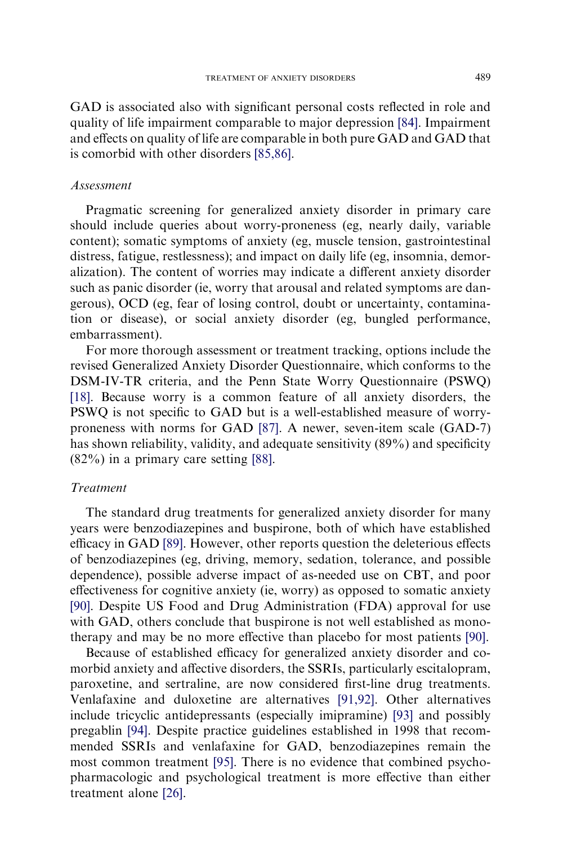GAD is associated also with significant personal costs reflected in role and quality of life impairment comparable to major depression [\[84\].](#page-26-0) Impairment and effects on quality of life are comparable in both pure GAD and GAD that is comorbid with other disorders [\[85,86\]](#page-26-0).

## Assessment

Pragmatic screening for generalized anxiety disorder in primary care should include queries about worry-proneness (eg, nearly daily, variable content); somatic symptoms of anxiety (eg, muscle tension, gastrointestinal distress, fatigue, restlessness); and impact on daily life (eg, insomnia, demoralization). The content of worries may indicate a different anxiety disorder such as panic disorder (ie, worry that arousal and related symptoms are dangerous), OCD (eg, fear of losing control, doubt or uncertainty, contamination or disease), or social anxiety disorder (eg, bungled performance, embarrassment).

For more thorough assessment or treatment tracking, options include the revised Generalized Anxiety Disorder Questionnaire, which conforms to the DSM-IV-TR criteria, and the Penn State Worry Questionnaire (PSWQ) [\[18\]](#page-23-0). Because worry is a common feature of all anxiety disorders, the PSWQ is not specific to GAD but is a well-established measure of worryproneness with norms for GAD [\[87\].](#page-26-0) A newer, seven-item scale (GAD-7) has shown reliability, validity, and adequate sensitivity (89%) and specificity (82%) in a primary care setting [\[88\].](#page-26-0)

# Treatment

The standard drug treatments for generalized anxiety disorder for many years were benzodiazepines and buspirone, both of which have established efficacy in GAD [\[89\]](#page-26-0). However, other reports question the deleterious effects of benzodiazepines (eg, driving, memory, sedation, tolerance, and possible dependence), possible adverse impact of as-needed use on CBT, and poor effectiveness for cognitive anxiety (ie, worry) as opposed to somatic anxiety [\[90\]](#page-26-0). Despite US Food and Drug Administration (FDA) approval for use with GAD, others conclude that buspirone is not well established as monotherapy and may be no more effective than placebo for most patients [\[90\].](#page-26-0)

Because of established efficacy for generalized anxiety disorder and comorbid anxiety and affective disorders, the SSRIs, particularly escitalopram, paroxetine, and sertraline, are now considered first-line drug treatments. Venlafaxine and duloxetine are alternatives [\[91,92\]](#page-26-0). Other alternatives include tricyclic antidepressants (especially imipramine) [\[93\]](#page-26-0) and possibly pregablin [\[94\]](#page-26-0). Despite practice guidelines established in 1998 that recommended SSRIs and venlafaxine for GAD, benzodiazepines remain the most common treatment [\[95\]](#page-26-0). There is no evidence that combined psychopharmacologic and psychological treatment is more effective than either treatment alone [\[26\]](#page-23-0).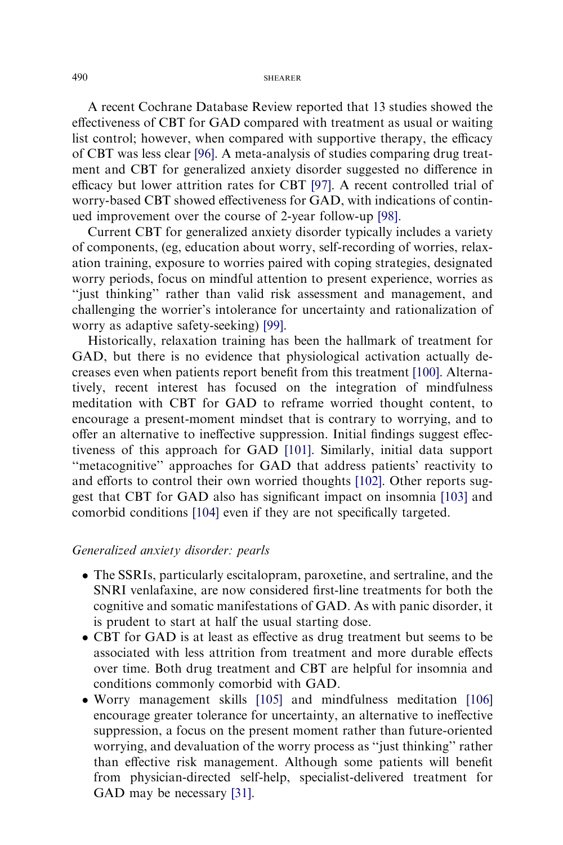A recent Cochrane Database Review reported that 13 studies showed the effectiveness of CBT for GAD compared with treatment as usual or waiting list control; however, when compared with supportive therapy, the efficacy of CBT was less clear [\[96\].](#page-26-0) A meta-analysis of studies comparing drug treatment and CBT for generalized anxiety disorder suggested no difference in efficacy but lower attrition rates for CBT [\[97\]](#page-26-0). A recent controlled trial of worry-based CBT showed effectiveness for GAD, with indications of continued improvement over the course of 2-year follow-up [\[98\]](#page-26-0).

Current CBT for generalized anxiety disorder typically includes a variety of components, (eg, education about worry, self-recording of worries, relaxation training, exposure to worries paired with coping strategies, designated worry periods, focus on mindful attention to present experience, worries as ''just thinking'' rather than valid risk assessment and management, and challenging the worrier's intolerance for uncertainty and rationalization of worry as adaptive safety-seeking) [\[99\]](#page-26-0).

Historically, relaxation training has been the hallmark of treatment for GAD, but there is no evidence that physiological activation actually decreases even when patients report benefit from this treatment [\[100\]](#page-27-0). Alternatively, recent interest has focused on the integration of mindfulness meditation with CBT for GAD to reframe worried thought content, to encourage a present-moment mindset that is contrary to worrying, and to offer an alternative to ineffective suppression. Initial findings suggest effectiveness of this approach for GAD [\[101\].](#page-27-0) Similarly, initial data support ''metacognitive'' approaches for GAD that address patients' reactivity to and efforts to control their own worried thoughts [\[102\].](#page-27-0) Other reports suggest that CBT for GAD also has significant impact on insomnia [\[103\]](#page-27-0) and comorbid conditions [\[104\]](#page-27-0) even if they are not specifically targeted.

# Generalized anxiety disorder: pearls

- The SSRIs, particularly escitalopram, paroxetine, and sertraline, and the SNRI venlafaxine, are now considered first-line treatments for both the cognitive and somatic manifestations of GAD. As with panic disorder, it is prudent to start at half the usual starting dose.
- CBT for GAD is at least as effective as drug treatment but seems to be associated with less attrition from treatment and more durable effects over time. Both drug treatment and CBT are helpful for insomnia and conditions commonly comorbid with GAD.
- Worry management skills [\[105\]](#page-27-0) and mindfulness meditation [\[106\]](#page-27-0) encourage greater tolerance for uncertainty, an alternative to ineffective suppression, a focus on the present moment rather than future-oriented worrying, and devaluation of the worry process as ''just thinking'' rather than effective risk management. Although some patients will benefit from physician-directed self-help, specialist-delivered treatment for GAD may be necessary [\[31\].](#page-23-0)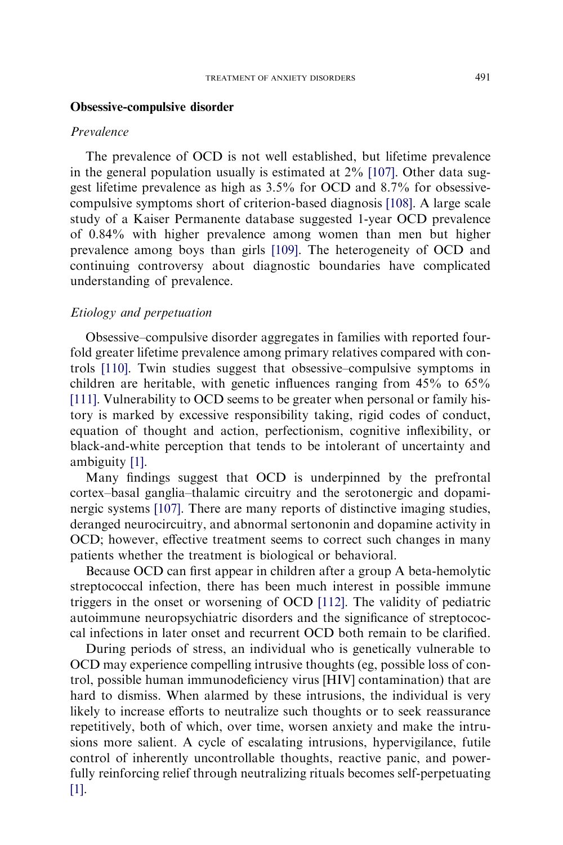#### Obsessive-compulsive disorder

## Prevalence

The prevalence of OCD is not well established, but lifetime prevalence in the general population usually is estimated at 2% [\[107\].](#page-27-0) Other data suggest lifetime prevalence as high as 3.5% for OCD and 8.7% for obsessivecompulsive symptoms short of criterion-based diagnosis [\[108\].](#page-27-0) A large scale study of a Kaiser Permanente database suggested 1-year OCD prevalence of 0.84% with higher prevalence among women than men but higher prevalence among boys than girls [\[109\].](#page-27-0) The heterogeneity of OCD and continuing controversy about diagnostic boundaries have complicated understanding of prevalence.

# Etiology and perpetuation

Obsessive–compulsive disorder aggregates in families with reported fourfold greater lifetime prevalence among primary relatives compared with controls [\[110\]](#page-27-0). Twin studies suggest that obsessive–compulsive symptoms in children are heritable, with genetic influences ranging from 45% to 65% [\[111\]](#page-27-0). Vulnerability to OCD seems to be greater when personal or family history is marked by excessive responsibility taking, rigid codes of conduct, equation of thought and action, perfectionism, cognitive inflexibility, or black-and-white perception that tends to be intolerant of uncertainty and ambiguity [\[1\]](#page-22-0).

Many findings suggest that OCD is underpinned by the prefrontal cortex–basal ganglia–thalamic circuitry and the serotonergic and dopaminergic systems [\[107\].](#page-27-0) There are many reports of distinctive imaging studies, deranged neurocircuitry, and abnormal sertononin and dopamine activity in OCD; however, effective treatment seems to correct such changes in many patients whether the treatment is biological or behavioral.

Because OCD can first appear in children after a group A beta-hemolytic streptococcal infection, there has been much interest in possible immune triggers in the onset or worsening of OCD [\[112\]](#page-27-0). The validity of pediatric autoimmune neuropsychiatric disorders and the significance of streptococcal infections in later onset and recurrent OCD both remain to be clarified.

During periods of stress, an individual who is genetically vulnerable to OCD may experience compelling intrusive thoughts (eg, possible loss of control, possible human immunodeficiency virus [HIV] contamination) that are hard to dismiss. When alarmed by these intrusions, the individual is very likely to increase efforts to neutralize such thoughts or to seek reassurance repetitively, both of which, over time, worsen anxiety and make the intrusions more salient. A cycle of escalating intrusions, hypervigilance, futile control of inherently uncontrollable thoughts, reactive panic, and powerfully reinforcing relief through neutralizing rituals becomes self-perpetuating [\[1\]](#page-22-0).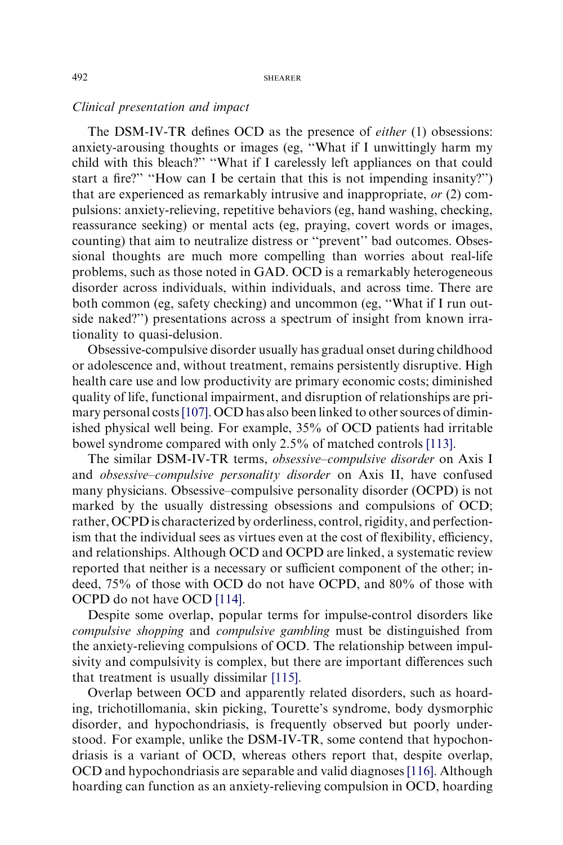#### Clinical presentation and impact

The DSM-IV-TR defines OCD as the presence of *either* (1) obsessions: anxiety-arousing thoughts or images (eg, ''What if I unwittingly harm my child with this bleach?'' ''What if I carelessly left appliances on that could start a fire?'' ''How can I be certain that this is not impending insanity?'') that are experienced as remarkably intrusive and inappropriate, or (2) compulsions: anxiety-relieving, repetitive behaviors (eg, hand washing, checking, reassurance seeking) or mental acts (eg, praying, covert words or images, counting) that aim to neutralize distress or ''prevent'' bad outcomes. Obsessional thoughts are much more compelling than worries about real-life problems, such as those noted in GAD. OCD is a remarkably heterogeneous disorder across individuals, within individuals, and across time. There are both common (eg, safety checking) and uncommon (eg, ''What if I run outside naked?'') presentations across a spectrum of insight from known irrationality to quasi-delusion.

Obsessive-compulsive disorder usually has gradual onset during childhood or adolescence and, without treatment, remains persistently disruptive. High health care use and low productivity are primary economic costs; diminished quality of life, functional impairment, and disruption of relationships are primary personal costs[\[107\].](#page-27-0) OCD has also been linked to other sources of diminished physical well being. For example, 35% of OCD patients had irritable bowel syndrome compared with only 2.5% of matched controls [\[113\]](#page-27-0).

The similar DSM-IV-TR terms, obsessive–compulsive disorder on Axis I and obsessive–compulsive personality disorder on Axis II, have confused many physicians. Obsessive–compulsive personality disorder (OCPD) is not marked by the usually distressing obsessions and compulsions of OCD; rather, OCPD is characterized by orderliness, control, rigidity, and perfectionism that the individual sees as virtues even at the cost of flexibility, efficiency, and relationships. Although OCD and OCPD are linked, a systematic review reported that neither is a necessary or sufficient component of the other; indeed, 75% of those with OCD do not have OCPD, and 80% of those with OCPD do not have OCD [\[114\].](#page-27-0)

Despite some overlap, popular terms for impulse-control disorders like compulsive shopping and compulsive gambling must be distinguished from the anxiety-relieving compulsions of OCD. The relationship between impulsivity and compulsivity is complex, but there are important differences such that treatment is usually dissimilar [\[115\].](#page-27-0)

Overlap between OCD and apparently related disorders, such as hoarding, trichotillomania, skin picking, Tourette's syndrome, body dysmorphic disorder, and hypochondriasis, is frequently observed but poorly understood. For example, unlike the DSM-IV-TR, some contend that hypochondriasis is a variant of OCD, whereas others report that, despite overlap, OCD and hypochondriasis are separable and valid diagnoses [\[116\].](#page-27-0) Although hoarding can function as an anxiety-relieving compulsion in OCD, hoarding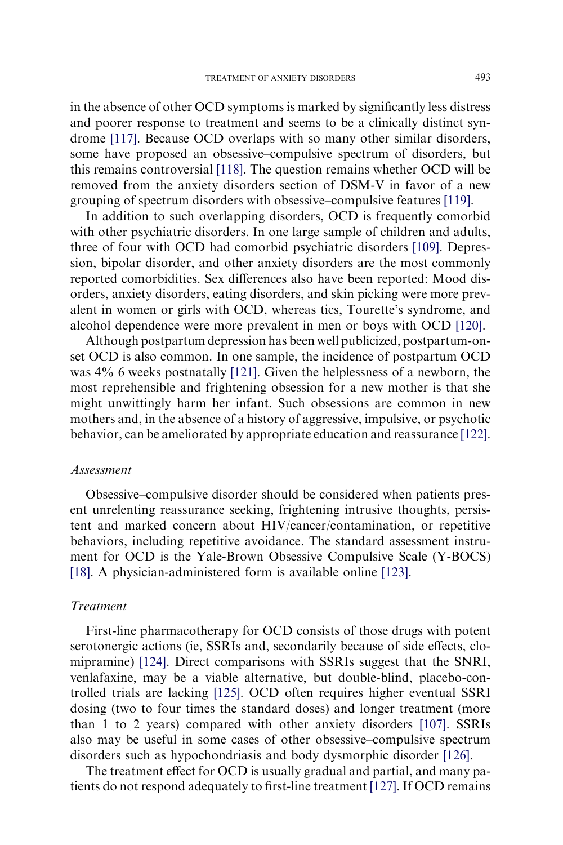in the absence of other OCD symptoms is marked by significantly less distress and poorer response to treatment and seems to be a clinically distinct syndrome [\[117\]](#page-27-0). Because OCD overlaps with so many other similar disorders, some have proposed an obsessive–compulsive spectrum of disorders, but this remains controversial [\[118\].](#page-27-0) The question remains whether OCD will be removed from the anxiety disorders section of DSM-V in favor of a new grouping of spectrum disorders with obsessive–compulsive features [\[119\]](#page-27-0).

In addition to such overlapping disorders, OCD is frequently comorbid with other psychiatric disorders. In one large sample of children and adults, three of four with OCD had comorbid psychiatric disorders [\[109\]](#page-27-0). Depression, bipolar disorder, and other anxiety disorders are the most commonly reported comorbidities. Sex differences also have been reported: Mood disorders, anxiety disorders, eating disorders, and skin picking were more prevalent in women or girls with OCD, whereas tics, Tourette's syndrome, and alcohol dependence were more prevalent in men or boys with OCD [\[120\]](#page-27-0).

Although postpartum depression has been well publicized, postpartum-onset OCD is also common. In one sample, the incidence of postpartum OCD was 4% 6 weeks postnatally [\[121\]](#page-27-0). Given the helplessness of a newborn, the most reprehensible and frightening obsession for a new mother is that she might unwittingly harm her infant. Such obsessions are common in new mothers and, in the absence of a history of aggressive, impulsive, or psychotic behavior, can be ameliorated by appropriate education and reassurance [\[122\].](#page-27-0)

## Assessment

Obsessive–compulsive disorder should be considered when patients present unrelenting reassurance seeking, frightening intrusive thoughts, persistent and marked concern about HIV/cancer/contamination, or repetitive behaviors, including repetitive avoidance. The standard assessment instrument for OCD is the Yale-Brown Obsessive Compulsive Scale (Y-BOCS) [\[18\]](#page-23-0). A physician-administered form is available online [\[123\]](#page-28-0).

## Treatment

First-line pharmacotherapy for OCD consists of those drugs with potent serotonergic actions (ie, SSRIs and, secondarily because of side effects, clomipramine) [\[124\].](#page-28-0) Direct comparisons with SSRIs suggest that the SNRI, venlafaxine, may be a viable alternative, but double-blind, placebo-controlled trials are lacking [\[125\]](#page-28-0). OCD often requires higher eventual SSRI dosing (two to four times the standard doses) and longer treatment (more than 1 to 2 years) compared with other anxiety disorders [\[107\]](#page-27-0). SSRIs also may be useful in some cases of other obsessive–compulsive spectrum disorders such as hypochondriasis and body dysmorphic disorder [\[126\]](#page-28-0).

The treatment effect for OCD is usually gradual and partial, and many patients do not respond adequately to first-line treatment [\[127\]](#page-28-0). If OCD remains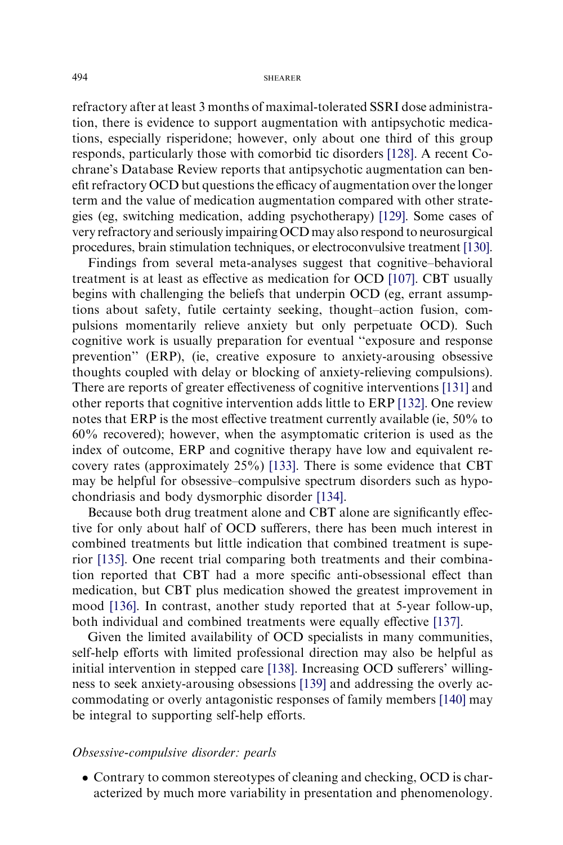refractory after at least 3 months of maximal-tolerated SSRI dose administration, there is evidence to support augmentation with antipsychotic medications, especially risperidone; however, only about one third of this group responds, particularly those with comorbid tic disorders [\[128\].](#page-28-0) A recent Cochrane's Database Review reports that antipsychotic augmentation can benefit refractory OCD but questions the efficacy of augmentation over the longer term and the value of medication augmentation compared with other strategies (eg, switching medication, adding psychotherapy) [\[129\].](#page-28-0) Some cases of very refractory and seriously impairing OCD may also respond to neurosurgical procedures, brain stimulation techniques, or electroconvulsive treatment [\[130\]](#page-28-0).

Findings from several meta-analyses suggest that cognitive–behavioral treatment is at least as effective as medication for OCD [\[107\]](#page-27-0). CBT usually begins with challenging the beliefs that underpin OCD (eg, errant assumptions about safety, futile certainty seeking, thought–action fusion, compulsions momentarily relieve anxiety but only perpetuate OCD). Such cognitive work is usually preparation for eventual ''exposure and response prevention'' (ERP), (ie, creative exposure to anxiety-arousing obsessive thoughts coupled with delay or blocking of anxiety-relieving compulsions). There are reports of greater effectiveness of cognitive interventions [\[131\]](#page-28-0) and other reports that cognitive intervention adds little to ERP [\[132\].](#page-28-0) One review notes that ERP is the most effective treatment currently available (ie, 50% to 60% recovered); however, when the asymptomatic criterion is used as the index of outcome, ERP and cognitive therapy have low and equivalent recovery rates (approximately 25%) [\[133\].](#page-28-0) There is some evidence that CBT may be helpful for obsessive–compulsive spectrum disorders such as hypochondriasis and body dysmorphic disorder [\[134\]](#page-28-0).

Because both drug treatment alone and CBT alone are significantly effective for only about half of OCD sufferers, there has been much interest in combined treatments but little indication that combined treatment is superior [\[135\]](#page-28-0). One recent trial comparing both treatments and their combination reported that CBT had a more specific anti-obsessional effect than medication, but CBT plus medication showed the greatest improvement in mood [\[136\]](#page-28-0). In contrast, another study reported that at 5-year follow-up, both individual and combined treatments were equally effective [\[137\].](#page-28-0)

Given the limited availability of OCD specialists in many communities, self-help efforts with limited professional direction may also be helpful as initial intervention in stepped care [\[138\].](#page-28-0) Increasing OCD sufferers' willingness to seek anxiety-arousing obsessions [\[139\]](#page-28-0) and addressing the overly accommodating or overly antagonistic responses of family members [\[140\]](#page-28-0) may be integral to supporting self-help efforts.

## Obsessive-compulsive disorder: pearls

• Contrary to common stereotypes of cleaning and checking, OCD is characterized by much more variability in presentation and phenomenology.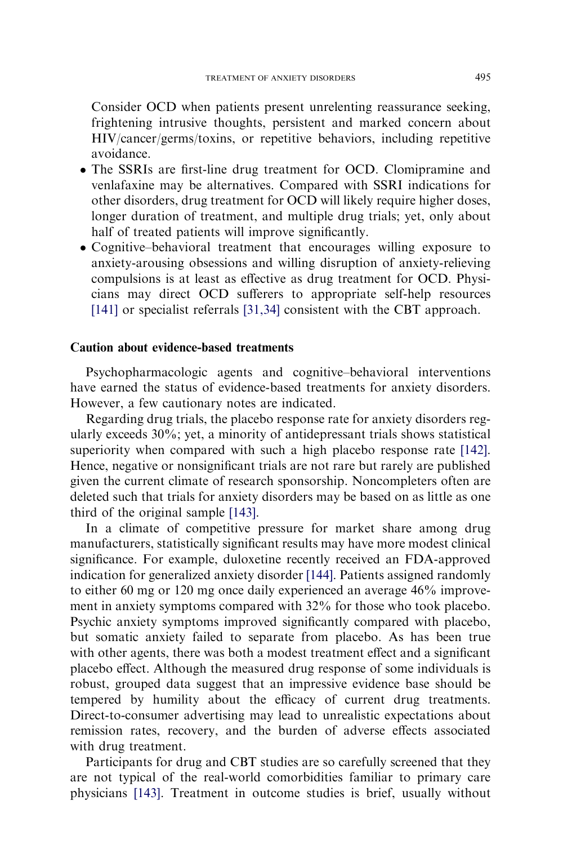Consider OCD when patients present unrelenting reassurance seeking, frightening intrusive thoughts, persistent and marked concern about HIV/cancer/germs/toxins, or repetitive behaviors, including repetitive avoidance.

- The SSRIs are first-line drug treatment for OCD. Clomipramine and venlafaxine may be alternatives. Compared with SSRI indications for other disorders, drug treatment for OCD will likely require higher doses, longer duration of treatment, and multiple drug trials; yet, only about half of treated patients will improve significantly.
- Cognitive–behavioral treatment that encourages willing exposure to anxiety-arousing obsessions and willing disruption of anxiety-relieving compulsions is at least as effective as drug treatment for OCD. Physicians may direct OCD sufferers to appropriate self-help resources [\[141\]](#page-28-0) or specialist referrals [\[31,34\]](#page-23-0) consistent with the CBT approach.

## Caution about evidence-based treatments

Psychopharmacologic agents and cognitive–behavioral interventions have earned the status of evidence-based treatments for anxiety disorders. However, a few cautionary notes are indicated.

Regarding drug trials, the placebo response rate for anxiety disorders regularly exceeds 30%; yet, a minority of antidepressant trials shows statistical superiority when compared with such a high placebo response rate [\[142\].](#page-28-0) Hence, negative or nonsignificant trials are not rare but rarely are published given the current climate of research sponsorship. Noncompleters often are deleted such that trials for anxiety disorders may be based on as little as one third of the original sample [\[143\]](#page-28-0).

In a climate of competitive pressure for market share among drug manufacturers, statistically significant results may have more modest clinical significance. For example, duloxetine recently received an FDA-approved indication for generalized anxiety disorder [\[144\].](#page-28-0) Patients assigned randomly to either 60 mg or 120 mg once daily experienced an average 46% improvement in anxiety symptoms compared with 32% for those who took placebo. Psychic anxiety symptoms improved significantly compared with placebo, but somatic anxiety failed to separate from placebo. As has been true with other agents, there was both a modest treatment effect and a significant placebo effect. Although the measured drug response of some individuals is robust, grouped data suggest that an impressive evidence base should be tempered by humility about the efficacy of current drug treatments. Direct-to-consumer advertising may lead to unrealistic expectations about remission rates, recovery, and the burden of adverse effects associated with drug treatment.

Participants for drug and CBT studies are so carefully screened that they are not typical of the real-world comorbidities familiar to primary care physicians [\[143\]](#page-28-0). Treatment in outcome studies is brief, usually without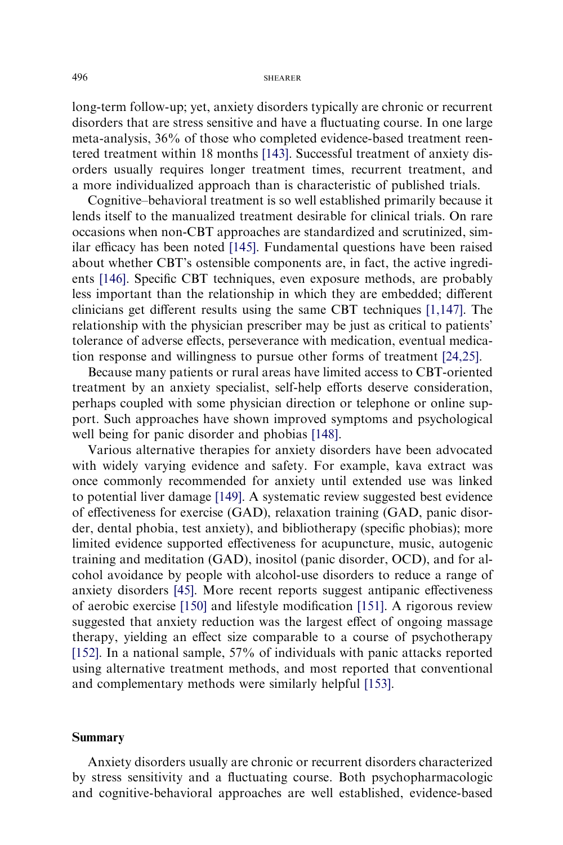long-term follow-up; yet, anxiety disorders typically are chronic or recurrent disorders that are stress sensitive and have a fluctuating course. In one large meta-analysis, 36% of those who completed evidence-based treatment reentered treatment within 18 months [\[143\].](#page-28-0) Successful treatment of anxiety disorders usually requires longer treatment times, recurrent treatment, and a more individualized approach than is characteristic of published trials.

Cognitive–behavioral treatment is so well established primarily because it lends itself to the manualized treatment desirable for clinical trials. On rare occasions when non-CBT approaches are standardized and scrutinized, similar efficacy has been noted [\[145\]](#page-29-0). Fundamental questions have been raised about whether CBT's ostensible components are, in fact, the active ingredients [\[146\].](#page-29-0) Specific CBT techniques, even exposure methods, are probably less important than the relationship in which they are embedded; different clinicians get different results using the same CBT techniques [\[1,147\]](#page-22-0). The relationship with the physician prescriber may be just as critical to patients' tolerance of adverse effects, perseverance with medication, eventual medication response and willingness to pursue other forms of treatment [\[24,25\]](#page-23-0).

Because many patients or rural areas have limited access to CBT-oriented treatment by an anxiety specialist, self-help efforts deserve consideration, perhaps coupled with some physician direction or telephone or online support. Such approaches have shown improved symptoms and psychological well being for panic disorder and phobias [\[148\].](#page-29-0)

Various alternative therapies for anxiety disorders have been advocated with widely varying evidence and safety. For example, kava extract was once commonly recommended for anxiety until extended use was linked to potential liver damage [\[149\]](#page-29-0). A systematic review suggested best evidence of effectiveness for exercise (GAD), relaxation training (GAD, panic disorder, dental phobia, test anxiety), and bibliotherapy (specific phobias); more limited evidence supported effectiveness for acupuncture, music, autogenic training and meditation (GAD), inositol (panic disorder, OCD), and for alcohol avoidance by people with alcohol-use disorders to reduce a range of anxiety disorders [\[45\].](#page-24-0) More recent reports suggest antipanic effectiveness of aerobic exercise [\[150\]](#page-29-0) and lifestyle modification [\[151\].](#page-29-0) A rigorous review suggested that anxiety reduction was the largest effect of ongoing massage therapy, yielding an effect size comparable to a course of psychotherapy [\[152\].](#page-29-0) In a national sample, 57% of individuals with panic attacks reported using alternative treatment methods, and most reported that conventional and complementary methods were similarly helpful [\[153\]](#page-29-0).

## Summary

Anxiety disorders usually are chronic or recurrent disorders characterized by stress sensitivity and a fluctuating course. Both psychopharmacologic and cognitive-behavioral approaches are well established, evidence-based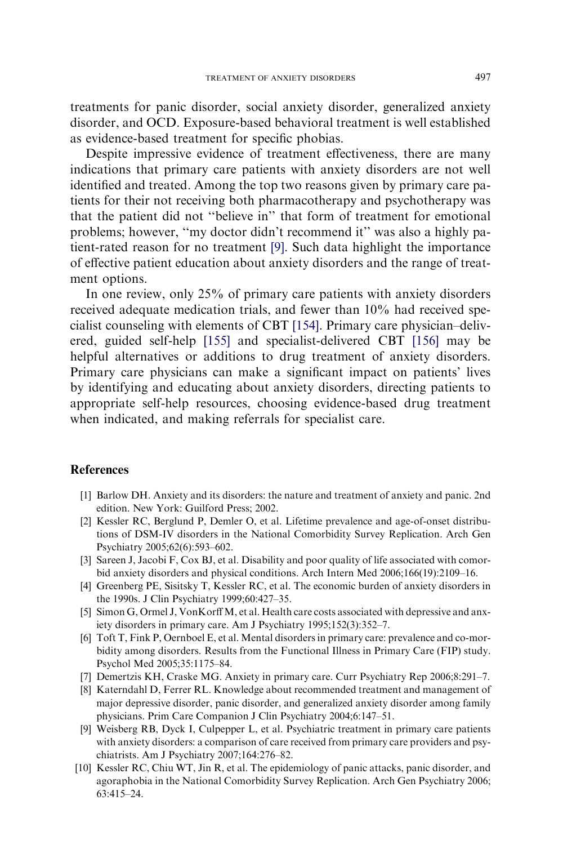<span id="page-22-0"></span>treatments for panic disorder, social anxiety disorder, generalized anxiety disorder, and OCD. Exposure-based behavioral treatment is well established as evidence-based treatment for specific phobias.

Despite impressive evidence of treatment effectiveness, there are many indications that primary care patients with anxiety disorders are not well identified and treated. Among the top two reasons given by primary care patients for their not receiving both pharmacotherapy and psychotherapy was that the patient did not ''believe in'' that form of treatment for emotional problems; however, ''my doctor didn't recommend it'' was also a highly patient-rated reason for no treatment [9]. Such data highlight the importance of effective patient education about anxiety disorders and the range of treatment options.

In one review, only 25% of primary care patients with anxiety disorders received adequate medication trials, and fewer than 10% had received specialist counseling with elements of CBT [\[154\].](#page-29-0) Primary care physician–delivered, guided self-help [\[155\]](#page-29-0) and specialist-delivered CBT [\[156\]](#page-29-0) may be helpful alternatives or additions to drug treatment of anxiety disorders. Primary care physicians can make a significant impact on patients' lives by identifying and educating about anxiety disorders, directing patients to appropriate self-help resources, choosing evidence-based drug treatment when indicated, and making referrals for specialist care.

# References

- [1] Barlow DH. Anxiety and its disorders: the nature and treatment of anxiety and panic. 2nd edition. New York: Guilford Press; 2002.
- [2] Kessler RC, Berglund P, Demler O, et al. Lifetime prevalence and age-of-onset distributions of DSM-IV disorders in the National Comorbidity Survey Replication. Arch Gen Psychiatry 2005;62(6):593–602.
- [3] Sareen J, Jacobi F, Cox BJ, et al. Disability and poor quality of life associated with comorbid anxiety disorders and physical conditions. Arch Intern Med 2006;166(19):2109–16.
- [4] Greenberg PE, Sisitsky T, Kessler RC, et al. The economic burden of anxiety disorders in the 1990s. J Clin Psychiatry 1999;60:427–35.
- [5] Simon G, Ormel J, VonKorff M, et al. Health care costs associated with depressive and anxiety disorders in primary care. Am J Psychiatry 1995;152(3):352–7.
- [6] Toft T, Fink P, Oernboel E, et al. Mental disorders in primary care: prevalence and co-morbidity among disorders. Results from the Functional Illness in Primary Care (FIP) study. Psychol Med 2005;35:1175–84.
- [7] Demertzis KH, Craske MG. Anxiety in primary care. Curr Psychiatry Rep 2006;8:291–7.
- [8] Katerndahl D, Ferrer RL. Knowledge about recommended treatment and management of major depressive disorder, panic disorder, and generalized anxiety disorder among family physicians. Prim Care Companion J Clin Psychiatry 2004;6:147–51.
- [9] Weisberg RB, Dyck I, Culpepper L, et al. Psychiatric treatment in primary care patients with anxiety disorders: a comparison of care received from primary care providers and psychiatrists. Am J Psychiatry 2007;164:276–82.
- [10] Kessler RC, Chiu WT, Jin R, et al. The epidemiology of panic attacks, panic disorder, and agoraphobia in the National Comorbidity Survey Replication. Arch Gen Psychiatry 2006; 63:415–24.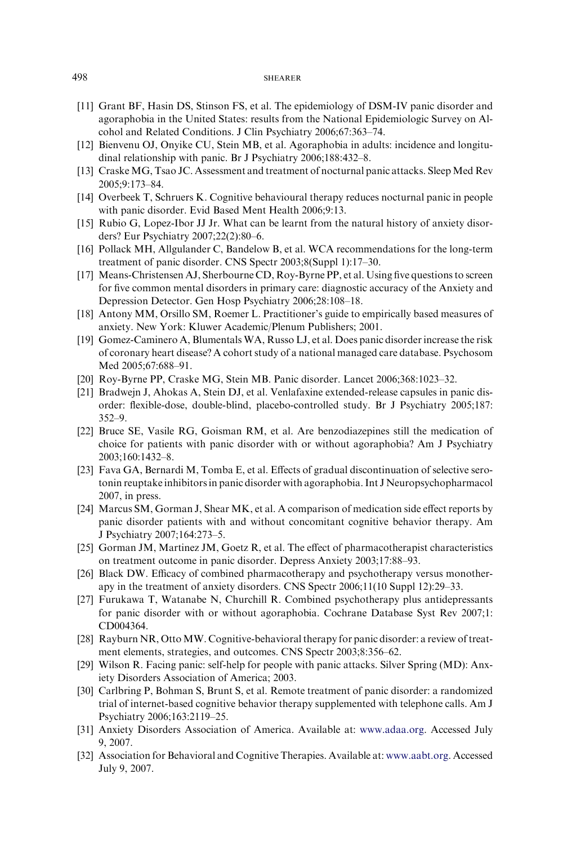- <span id="page-23-0"></span>[11] Grant BF, Hasin DS, Stinson FS, et al. The epidemiology of DSM-IV panic disorder and agoraphobia in the United States: results from the National Epidemiologic Survey on Alcohol and Related Conditions. J Clin Psychiatry 2006;67:363–74.
- [12] Bienvenu OJ, Onyike CU, Stein MB, et al. Agoraphobia in adults: incidence and longitudinal relationship with panic. Br J Psychiatry 2006;188:432–8.
- [13] Craske MG, Tsao JC. Assessment and treatment of nocturnal panic attacks. Sleep Med Rev 2005;9:173–84.
- [14] Overbeek T, Schruers K. Cognitive behavioural therapy reduces nocturnal panic in people with panic disorder. Evid Based Ment Health 2006;9:13.
- [15] Rubio G, Lopez-Ibor JJ Jr. What can be learnt from the natural history of anxiety disorders? Eur Psychiatry 2007;22(2):80–6.
- [16] Pollack MH, Allgulander C, Bandelow B, et al. WCA recommendations for the long-term treatment of panic disorder. CNS Spectr 2003;8(Suppl 1):17–30.
- [17] Means-Christensen AJ, Sherbourne CD, Roy-Byrne PP, et al. Using five questions to screen for five common mental disorders in primary care: diagnostic accuracy of the Anxiety and Depression Detector. Gen Hosp Psychiatry 2006;28:108–18.
- [18] Antony MM, Orsillo SM, Roemer L. Practitioner's guide to empirically based measures of anxiety. New York: Kluwer Academic/Plenum Publishers; 2001.
- [19] Gomez-Caminero A, Blumentals WA, Russo LJ, et al. Does panic disorder increase the risk of coronary heart disease? A cohort study of a national managed care database. Psychosom Med 2005;67:688–91.
- [20] Roy-Byrne PP, Craske MG, Stein MB. Panic disorder. Lancet 2006;368:1023–32.
- [21] Bradwejn J, Ahokas A, Stein DJ, et al. Venlafaxine extended-release capsules in panic disorder: flexible-dose, double-blind, placebo-controlled study. Br J Psychiatry 2005;187: 352–9.
- [22] Bruce SE, Vasile RG, Goisman RM, et al. Are benzodiazepines still the medication of choice for patients with panic disorder with or without agoraphobia? Am J Psychiatry 2003;160:1432–8.
- [23] Fava GA, Bernardi M, Tomba E, et al. Effects of gradual discontinuation of selective serotonin reuptake inhibitors in panic disorder with agoraphobia. Int J Neuropsychopharmacol 2007, in press.
- [24] Marcus SM, Gorman J, Shear MK, et al. A comparison of medication side effect reports by panic disorder patients with and without concomitant cognitive behavior therapy. Am J Psychiatry 2007;164:273–5.
- [25] Gorman JM, Martinez JM, Goetz R, et al. The effect of pharmacotherapist characteristics on treatment outcome in panic disorder. Depress Anxiety 2003;17:88–93.
- [26] Black DW. Efficacy of combined pharmacotherapy and psychotherapy versus monotherapy in the treatment of anxiety disorders. CNS Spectr 2006;11(10 Suppl 12):29–33.
- [27] Furukawa T, Watanabe N, Churchill R. Combined psychotherapy plus antidepressants for panic disorder with or without agoraphobia. Cochrane Database Syst Rev 2007;1: CD004364.
- [28] Rayburn NR, Otto MW. Cognitive-behavioral therapy for panic disorder: a review of treatment elements, strategies, and outcomes. CNS Spectr 2003;8:356–62.
- [29] Wilson R. Facing panic: self-help for people with panic attacks. Silver Spring (MD): Anxiety Disorders Association of America; 2003.
- [30] Carlbring P, Bohman S, Brunt S, et al. Remote treatment of panic disorder: a randomized trial of internet-based cognitive behavior therapy supplemented with telephone calls. Am J Psychiatry 2006;163:2119–25.
- [31] Anxiety Disorders Association of America. Available at: [www.adaa.org](http://www.adaa.org). Accessed July 9, 2007.
- [32] Association for Behavioral and Cognitive Therapies. Available at: [www.aabt.org](http://www.aabt.org). Accessed July 9, 2007.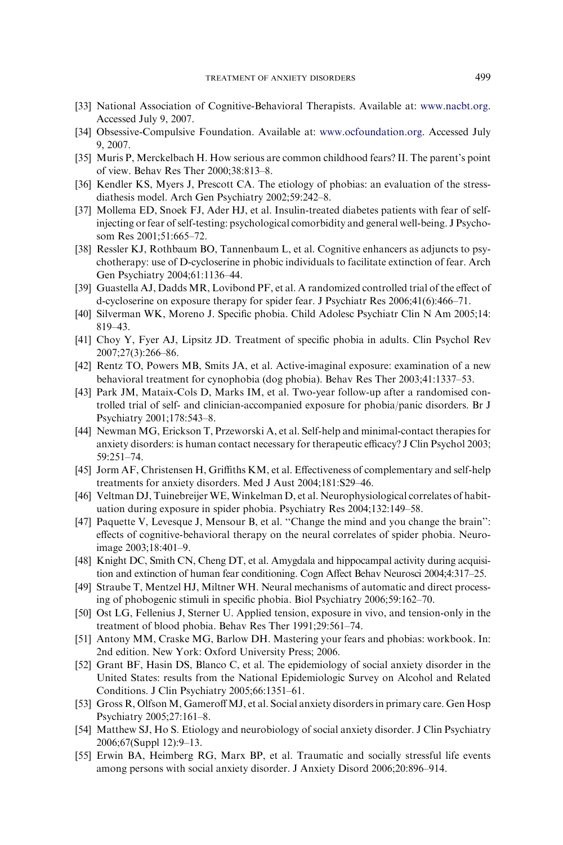- <span id="page-24-0"></span>[33] National Association of Cognitive-Behavioral Therapists. Available at: [www.nacbt.org](http://www.nacbt.org). Accessed July 9, 2007.
- [34] Obsessive-Compulsive Foundation. Available at: [www.ocfoundation.org.](http://www.ocfoundation.org) Accessed July 9, 2007.
- [35] Muris P, Merckelbach H. How serious are common childhood fears? II. The parent's point of view. Behav Res Ther 2000;38:813–8.
- [36] Kendler KS, Myers J, Prescott CA. The etiology of phobias: an evaluation of the stressdiathesis model. Arch Gen Psychiatry 2002;59:242–8.
- [37] Mollema ED, Snoek FJ, Ader HJ, et al. Insulin-treated diabetes patients with fear of selfinjecting or fear of self-testing: psychological comorbidity and general well-being. J Psychosom Res 2001;51:665–72.
- [38] Ressler KJ, Rothbaum BO, Tannenbaum L, et al. Cognitive enhancers as adjuncts to psychotherapy: use of D-cycloserine in phobic individuals to facilitate extinction of fear. Arch Gen Psychiatry 2004;61:1136–44.
- [39] Guastella AJ, Dadds MR, Lovibond PF, et al. A randomized controlled trial of the effect of d-cycloserine on exposure therapy for spider fear. J Psychiatr Res 2006;41(6):466–71.
- [40] Silverman WK, Moreno J. Specific phobia. Child Adolesc Psychiatr Clin N Am 2005;14: 819–43.
- [41] Choy Y, Fyer AJ, Lipsitz JD. Treatment of specific phobia in adults. Clin Psychol Rev 2007;27(3):266–86.
- [42] Rentz TO, Powers MB, Smits JA, et al. Active-imaginal exposure: examination of a new behavioral treatment for cynophobia (dog phobia). Behav Res Ther 2003;41:1337–53.
- [43] Park JM, Mataix-Cols D, Marks IM, et al. Two-year follow-up after a randomised controlled trial of self- and clinician-accompanied exposure for phobia/panic disorders. Br J Psychiatry 2001;178:543–8.
- [44] Newman MG, Erickson T, Przeworski A, et al. Self-help and minimal-contact therapies for anxiety disorders: is human contact necessary for therapeutic efficacy? J Clin Psychol 2003; 59:251–74.
- [45] Jorm AF, Christensen H, Griffiths KM, et al. Effectiveness of complementary and self-help treatments for anxiety disorders. Med J Aust 2004;181:S29–46.
- [46] Veltman DJ, Tuinebreijer WE, Winkelman D, et al. Neurophysiological correlates of habituation during exposure in spider phobia. Psychiatry Res 2004;132:149–58.
- [47] Paquette V, Levesque J, Mensour B, et al. ''Change the mind and you change the brain'': effects of cognitive-behavioral therapy on the neural correlates of spider phobia. Neuroimage 2003;18:401–9.
- [48] Knight DC, Smith CN, Cheng DT, et al. Amygdala and hippocampal activity during acquisition and extinction of human fear conditioning. Cogn Affect Behav Neurosci 2004;4:317–25.
- [49] Straube T, Mentzel HJ, Miltner WH. Neural mechanisms of automatic and direct processing of phobogenic stimuli in specific phobia. Biol Psychiatry 2006;59:162–70.
- [50] Ost LG, Fellenius J, Sterner U. Applied tension, exposure in vivo, and tension-only in the treatment of blood phobia. Behav Res Ther 1991;29:561–74.
- [51] Antony MM, Craske MG, Barlow DH. Mastering your fears and phobias: workbook. In: 2nd edition. New York: Oxford University Press; 2006.
- [52] Grant BF, Hasin DS, Blanco C, et al. The epidemiology of social anxiety disorder in the United States: results from the National Epidemiologic Survey on Alcohol and Related Conditions. J Clin Psychiatry 2005;66:1351–61.
- [53] Gross R, Olfson M, Gameroff MJ, et al. Social anxiety disorders in primary care. Gen Hosp Psychiatry 2005;27:161–8.
- [54] Matthew SJ, Ho S. Etiology and neurobiology of social anxiety disorder. J Clin Psychiatry 2006;67(Suppl 12):9–13.
- [55] Erwin BA, Heimberg RG, Marx BP, et al. Traumatic and socially stressful life events among persons with social anxiety disorder. J Anxiety Disord 2006;20:896–914.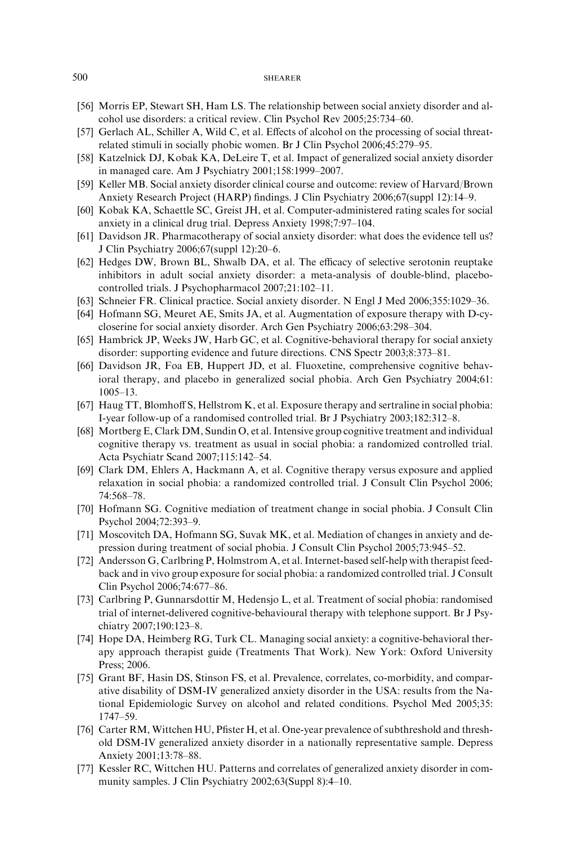- <span id="page-25-0"></span>[56] Morris EP, Stewart SH, Ham LS. The relationship between social anxiety disorder and alcohol use disorders: a critical review. Clin Psychol Rev 2005;25:734–60.
- [57] Gerlach AL, Schiller A, Wild C, et al. Effects of alcohol on the processing of social threatrelated stimuli in socially phobic women. Br J Clin Psychol 2006;45:279–95.
- [58] Katzelnick DJ, Kobak KA, DeLeire T, et al. Impact of generalized social anxiety disorder in managed care. Am J Psychiatry 2001;158:1999–2007.
- [59] Keller MB. Social anxiety disorder clinical course and outcome: review of Harvard/Brown Anxiety Research Project (HARP) findings. J Clin Psychiatry 2006;67(suppl 12):14–9.
- [60] Kobak KA, Schaettle SC, Greist JH, et al. Computer-administered rating scales for social anxiety in a clinical drug trial. Depress Anxiety 1998;7:97–104.
- [61] Davidson JR. Pharmacotherapy of social anxiety disorder: what does the evidence tell us? J Clin Psychiatry 2006;67(suppl 12):20–6.
- [62] Hedges DW, Brown BL, Shwalb DA, et al. The efficacy of selective serotonin reuptake inhibitors in adult social anxiety disorder: a meta-analysis of double-blind, placebocontrolled trials. J Psychopharmacol 2007;21:102–11.
- [63] Schneier FR. Clinical practice. Social anxiety disorder. N Engl J Med 2006;355:1029–36.
- [64] Hofmann SG, Meuret AE, Smits JA, et al. Augmentation of exposure therapy with D-cycloserine for social anxiety disorder. Arch Gen Psychiatry 2006;63:298–304.
- [65] Hambrick JP, Weeks JW, Harb GC, et al. Cognitive-behavioral therapy for social anxiety disorder: supporting evidence and future directions. CNS Spectr 2003;8:373–81.
- [66] Davidson JR, Foa EB, Huppert JD, et al. Fluoxetine, comprehensive cognitive behavioral therapy, and placebo in generalized social phobia. Arch Gen Psychiatry 2004;61: 1005–13.
- [67] Haug TT, Blomhoff S, Hellstrom K, et al. Exposure therapy and sertraline in social phobia: I-year follow-up of a randomised controlled trial. Br J Psychiatry 2003;182:312–8.
- [68] Mortberg E, Clark DM, Sundin O, et al. Intensive group cognitive treatment and individual cognitive therapy vs. treatment as usual in social phobia: a randomized controlled trial. Acta Psychiatr Scand 2007;115:142–54.
- [69] Clark DM, Ehlers A, Hackmann A, et al. Cognitive therapy versus exposure and applied relaxation in social phobia: a randomized controlled trial. J Consult Clin Psychol 2006; 74:568–78.
- [70] Hofmann SG. Cognitive mediation of treatment change in social phobia. J Consult Clin Psychol 2004;72:393–9.
- [71] Moscovitch DA, Hofmann SG, Suvak MK, et al. Mediation of changes in anxiety and depression during treatment of social phobia. J Consult Clin Psychol 2005;73:945–52.
- [72] Andersson G, Carlbring P, Holmstrom A, et al. Internet-based self-help with therapist feedback and in vivo group exposure for social phobia: a randomized controlled trial. J Consult Clin Psychol 2006;74:677–86.
- [73] Carlbring P, Gunnarsdottir M, Hedensjo L, et al. Treatment of social phobia: randomised trial of internet-delivered cognitive-behavioural therapy with telephone support. Br J Psychiatry 2007;190:123–8.
- [74] Hope DA, Heimberg RG, Turk CL. Managing social anxiety: a cognitive-behavioral therapy approach therapist guide (Treatments That Work). New York: Oxford University Press; 2006.
- [75] Grant BF, Hasin DS, Stinson FS, et al. Prevalence, correlates, co-morbidity, and comparative disability of DSM-IV generalized anxiety disorder in the USA: results from the National Epidemiologic Survey on alcohol and related conditions. Psychol Med 2005;35: 1747–59.
- [76] Carter RM, Wittchen HU, Pfister H, et al. One-year prevalence of subthreshold and threshold DSM-IV generalized anxiety disorder in a nationally representative sample. Depress Anxiety 2001;13:78–88.
- [77] Kessler RC, Wittchen HU. Patterns and correlates of generalized anxiety disorder in community samples. J Clin Psychiatry 2002;63(Suppl 8):4–10.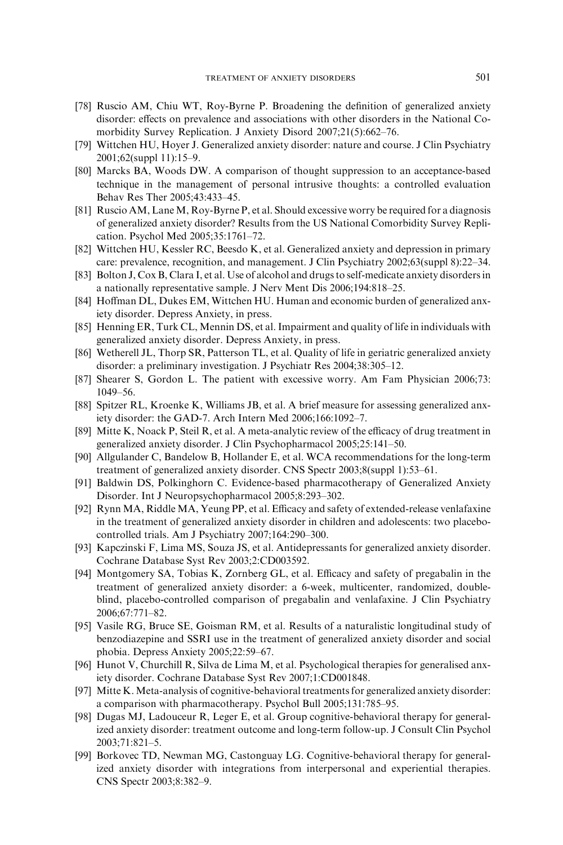- <span id="page-26-0"></span>[78] Ruscio AM, Chiu WT, Roy-Byrne P. Broadening the definition of generalized anxiety disorder: effects on prevalence and associations with other disorders in the National Comorbidity Survey Replication. J Anxiety Disord 2007;21(5):662–76.
- [79] Wittchen HU, Hoyer J. Generalized anxiety disorder: nature and course. J Clin Psychiatry 2001;62(suppl 11):15–9.
- [80] Marcks BA, Woods DW. A comparison of thought suppression to an acceptance-based technique in the management of personal intrusive thoughts: a controlled evaluation Behav Res Ther 2005;43:433–45.
- [81] Ruscio AM, Lane M, Roy-Byrne P, et al. Should excessive worry be required for a diagnosis of generalized anxiety disorder? Results from the US National Comorbidity Survey Replication. Psychol Med 2005;35:1761–72.
- [82] Wittchen HU, Kessler RC, Beesdo K, et al. Generalized anxiety and depression in primary care: prevalence, recognition, and management. J Clin Psychiatry 2002;63(suppl 8):22–34.
- [83] Bolton J, Cox B, Clara I, et al. Use of alcohol and drugs to self-medicate anxiety disorders in a nationally representative sample. J Nerv Ment Dis 2006;194:818–25.
- [84] Hoffman DL, Dukes EM, Wittchen HU. Human and economic burden of generalized anxiety disorder. Depress Anxiety, in press.
- [85] Henning ER, Turk CL, Mennin DS, et al. Impairment and quality of life in individuals with generalized anxiety disorder. Depress Anxiety, in press.
- [86] Wetherell JL, Thorp SR, Patterson TL, et al. Quality of life in geriatric generalized anxiety disorder: a preliminary investigation. J Psychiatr Res 2004;38:305–12.
- [87] Shearer S, Gordon L. The patient with excessive worry. Am Fam Physician 2006;73: 1049–56.
- [88] Spitzer RL, Kroenke K, Williams JB, et al. A brief measure for assessing generalized anxiety disorder: the GAD-7. Arch Intern Med 2006;166:1092–7.
- [89] Mitte K, Noack P, Steil R, et al. A meta-analytic review of the efficacy of drug treatment in generalized anxiety disorder. J Clin Psychopharmacol 2005;25:141–50.
- [90] Allgulander C, Bandelow B, Hollander E, et al. WCA recommendations for the long-term treatment of generalized anxiety disorder. CNS Spectr 2003;8(suppl 1):53–61.
- [91] Baldwin DS, Polkinghorn C. Evidence-based pharmacotherapy of Generalized Anxiety Disorder. Int J Neuropsychopharmacol 2005;8:293–302.
- [92] Rynn MA, Riddle MA, Yeung PP, et al. Efficacy and safety of extended-release venlafaxine in the treatment of generalized anxiety disorder in children and adolescents: two placebocontrolled trials. Am J Psychiatry 2007;164:290–300.
- [93] Kapczinski F, Lima MS, Souza JS, et al. Antidepressants for generalized anxiety disorder. Cochrane Database Syst Rev 2003;2:CD003592.
- [94] Montgomery SA, Tobias K, Zornberg GL, et al. Efficacy and safety of pregabalin in the treatment of generalized anxiety disorder: a 6-week, multicenter, randomized, doubleblind, placebo-controlled comparison of pregabalin and venlafaxine. J Clin Psychiatry 2006;67:771–82.
- [95] Vasile RG, Bruce SE, Goisman RM, et al. Results of a naturalistic longitudinal study of benzodiazepine and SSRI use in the treatment of generalized anxiety disorder and social phobia. Depress Anxiety 2005;22:59–67.
- [96] Hunot V, Churchill R, Silva de Lima M, et al. Psychological therapies for generalised anxiety disorder. Cochrane Database Syst Rev 2007;1:CD001848.
- [97] Mitte K. Meta-analysis of cognitive-behavioral treatments for generalized anxiety disorder: a comparison with pharmacotherapy. Psychol Bull 2005;131:785–95.
- [98] Dugas MJ, Ladouceur R, Leger E, et al. Group cognitive-behavioral therapy for generalized anxiety disorder: treatment outcome and long-term follow-up. J Consult Clin Psychol 2003;71:821–5.
- [99] Borkovec TD, Newman MG, Castonguay LG. Cognitive-behavioral therapy for generalized anxiety disorder with integrations from interpersonal and experiential therapies. CNS Spectr 2003;8:382–9.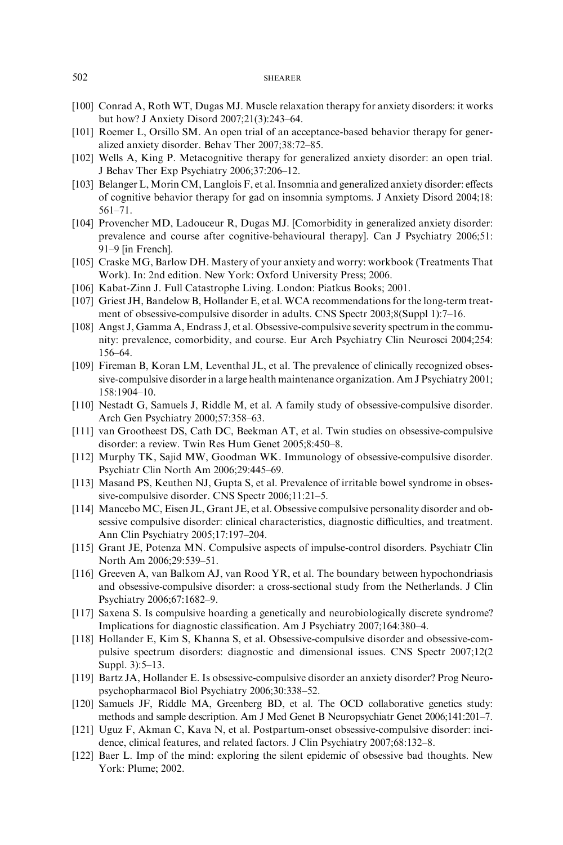- <span id="page-27-0"></span>[100] Conrad A, Roth WT, Dugas MJ. Muscle relaxation therapy for anxiety disorders: it works but how? J Anxiety Disord 2007;21(3):243–64.
- [101] Roemer L, Orsillo SM. An open trial of an acceptance-based behavior therapy for generalized anxiety disorder. Behav Ther 2007;38:72–85.
- [102] Wells A, King P. Metacognitive therapy for generalized anxiety disorder: an open trial. J Behav Ther Exp Psychiatry 2006;37:206–12.
- [103] Belanger L, Morin CM, Langlois F, et al. Insomnia and generalized anxiety disorder: effects of cognitive behavior therapy for gad on insomnia symptoms. J Anxiety Disord 2004;18: 561–71.
- [104] Provencher MD, Ladouceur R, Dugas MJ. [Comorbidity in generalized anxiety disorder: prevalence and course after cognitive-behavioural therapy]. Can J Psychiatry 2006;51: 91–9 [in French].
- [105] Craske MG, Barlow DH. Mastery of your anxiety and worry: workbook (Treatments That Work). In: 2nd edition. New York: Oxford University Press; 2006.
- [106] Kabat-Zinn J. Full Catastrophe Living. London: Piatkus Books; 2001.
- [107] Griest JH, Bandelow B, Hollander E, et al. WCA recommendations for the long-term treatment of obsessive-compulsive disorder in adults. CNS Spectr 2003;8(Suppl 1):7–16.
- [108] Angst J, Gamma A, Endrass J, et al. Obsessive-compulsive severity spectrum in the community: prevalence, comorbidity, and course. Eur Arch Psychiatry Clin Neurosci 2004;254: 156–64.
- [109] Fireman B, Koran LM, Leventhal JL, et al. The prevalence of clinically recognized obsessive-compulsive disorder in a large health maintenance organization. Am J Psychiatry 2001; 158:1904–10.
- [110] Nestadt G, Samuels J, Riddle M, et al. A family study of obsessive-compulsive disorder. Arch Gen Psychiatry 2000;57:358–63.
- [111] van Grootheest DS, Cath DC, Beekman AT, et al. Twin studies on obsessive-compulsive disorder: a review. Twin Res Hum Genet 2005;8:450–8.
- [112] Murphy TK, Sajid MW, Goodman WK. Immunology of obsessive-compulsive disorder. Psychiatr Clin North Am 2006;29:445–69.
- [113] Masand PS, Keuthen NJ, Gupta S, et al. Prevalence of irritable bowel syndrome in obsessive-compulsive disorder. CNS Spectr 2006;11:21–5.
- [114] Mancebo MC, Eisen JL, Grant JE, et al. Obsessive compulsive personality disorder and obsessive compulsive disorder: clinical characteristics, diagnostic difficulties, and treatment. Ann Clin Psychiatry 2005;17:197–204.
- [115] Grant JE, Potenza MN. Compulsive aspects of impulse-control disorders. Psychiatr Clin North Am 2006;29:539–51.
- [116] Greeven A, van Balkom AJ, van Rood YR, et al. The boundary between hypochondriasis and obsessive-compulsive disorder: a cross-sectional study from the Netherlands. J Clin Psychiatry 2006;67:1682–9.
- [117] Saxena S. Is compulsive hoarding a genetically and neurobiologically discrete syndrome? Implications for diagnostic classification. Am J Psychiatry 2007;164:380–4.
- [118] Hollander E, Kim S, Khanna S, et al. Obsessive-compulsive disorder and obsessive-compulsive spectrum disorders: diagnostic and dimensional issues. CNS Spectr 2007;12(2 Suppl. 3):5–13.
- [119] Bartz JA, Hollander E. Is obsessive-compulsive disorder an anxiety disorder? Prog Neuropsychopharmacol Biol Psychiatry 2006;30:338–52.
- [120] Samuels JF, Riddle MA, Greenberg BD, et al. The OCD collaborative genetics study: methods and sample description. Am J Med Genet B Neuropsychiatr Genet 2006;141:201–7.
- [121] Uguz F, Akman C, Kava N, et al. Postpartum-onset obsessive-compulsive disorder: incidence, clinical features, and related factors. J Clin Psychiatry 2007;68:132–8.
- [122] Baer L. Imp of the mind: exploring the silent epidemic of obsessive bad thoughts. New York: Plume; 2002.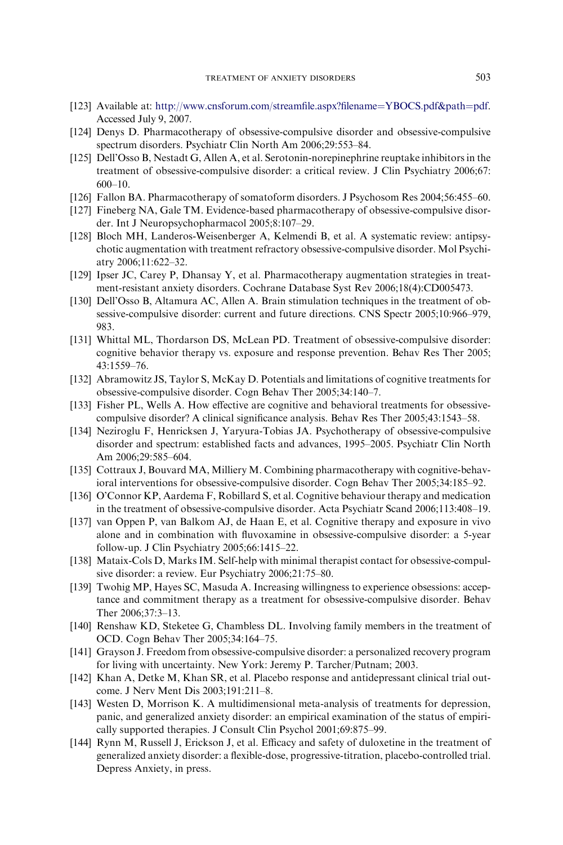- <span id="page-28-0"></span>[123] Available at: [http://www.cnsforum.com/streamfile.aspx?filename](http://www.cnsforum.com/streamfile.aspx?filename=YBOCS.pdf&path=pdf)=YBOCS.pdf&path=pdf. Accessed July 9, 2007.
- [124] Denys D. Pharmacotherapy of obsessive-compulsive disorder and obsessive-compulsive spectrum disorders. Psychiatr Clin North Am 2006;29:553–84.
- [125] Dell'Osso B, Nestadt G, Allen A, et al. Serotonin-norepinephrine reuptake inhibitors in the treatment of obsessive-compulsive disorder: a critical review. J Clin Psychiatry 2006;67: 600–10.
- [126] Fallon BA. Pharmacotherapy of somatoform disorders. J Psychosom Res 2004;56:455–60.
- [127] Fineberg NA, Gale TM. Evidence-based pharmacotherapy of obsessive-compulsive disorder. Int J Neuropsychopharmacol 2005;8:107–29.
- [128] Bloch MH, Landeros-Weisenberger A, Kelmendi B, et al. A systematic review: antipsychotic augmentation with treatment refractory obsessive-compulsive disorder. Mol Psychiatry 2006;11:622–32.
- [129] Ipser JC, Carey P, Dhansay Y, et al. Pharmacotherapy augmentation strategies in treatment-resistant anxiety disorders. Cochrane Database Syst Rev 2006;18(4):CD005473.
- [130] Dell'Osso B, Altamura AC, Allen A. Brain stimulation techniques in the treatment of obsessive-compulsive disorder: current and future directions. CNS Spectr 2005;10:966–979, 983.
- [131] Whittal ML, Thordarson DS, McLean PD. Treatment of obsessive-compulsive disorder: cognitive behavior therapy vs. exposure and response prevention. Behav Res Ther 2005; 43:1559–76.
- [132] Abramowitz JS, Taylor S, McKay D. Potentials and limitations of cognitive treatments for obsessive-compulsive disorder. Cogn Behav Ther 2005;34:140–7.
- [133] Fisher PL, Wells A. How effective are cognitive and behavioral treatments for obsessivecompulsive disorder? A clinical significance analysis. Behav Res Ther 2005;43:1543–58.
- [134] Neziroglu F, Henricksen J, Yaryura-Tobias JA. Psychotherapy of obsessive-compulsive disorder and spectrum: established facts and advances, 1995–2005. Psychiatr Clin North Am 2006;29:585–604.
- [135] Cottraux J, Bouvard MA, Milliery M. Combining pharmacotherapy with cognitive-behavioral interventions for obsessive-compulsive disorder. Cogn Behav Ther 2005;34:185–92.
- [136] O'Connor KP, Aardema F, Robillard S, et al. Cognitive behaviour therapy and medication in the treatment of obsessive-compulsive disorder. Acta Psychiatr Scand 2006;113:408–19.
- [137] van Oppen P, van Balkom AJ, de Haan E, et al. Cognitive therapy and exposure in vivo alone and in combination with fluvoxamine in obsessive-compulsive disorder: a 5-year follow-up. J Clin Psychiatry 2005;66:1415–22.
- [138] Mataix-Cols D, Marks IM. Self-help with minimal therapist contact for obsessive-compulsive disorder: a review. Eur Psychiatry 2006;21:75–80.
- [139] Twohig MP, Hayes SC, Masuda A. Increasing willingness to experience obsessions: acceptance and commitment therapy as a treatment for obsessive-compulsive disorder. Behav Ther 2006;37:3–13.
- [140] Renshaw KD, Steketee G, Chambless DL. Involving family members in the treatment of OCD. Cogn Behav Ther 2005;34:164–75.
- [141] Grayson J. Freedom from obsessive-compulsive disorder: a personalized recovery program for living with uncertainty. New York: Jeremy P. Tarcher/Putnam; 2003.
- [142] Khan A, Detke M, Khan SR, et al. Placebo response and antidepressant clinical trial outcome. J Nerv Ment Dis 2003;191:211–8.
- [143] Westen D, Morrison K. A multidimensional meta-analysis of treatments for depression, panic, and generalized anxiety disorder: an empirical examination of the status of empirically supported therapies. J Consult Clin Psychol 2001;69:875–99.
- [144] Rynn M, Russell J, Erickson J, et al. Efficacy and safety of duloxetine in the treatment of generalized anxiety disorder: a flexible-dose, progressive-titration, placebo-controlled trial. Depress Anxiety, in press.